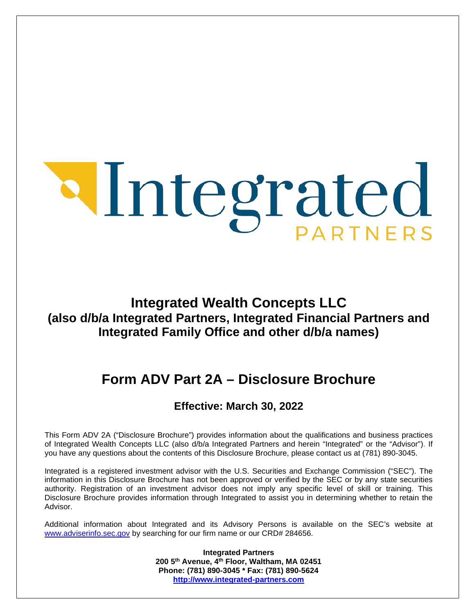$\overline{a}$ 

# **Integrated Wealth Concepts LLC (also d/b/a Integrated Partners, Integrated Financial Partners and Integrated Family Office and other d/b/a names)**

# **Form ADV Part 2A – Disclosure Brochure**

# **Effective: March 30, 2022**

This Form ADV 2A ("Disclosure Brochure") provides information about the qualifications and business practices of Integrated Wealth Concepts LLC (also d/b/a Integrated Partners and herein "Integrated" or the "Advisor"). If you have any questions about the contents of this Disclosure Brochure, please contact us at (781) 890-3045.

Integrated is a registered investment advisor with the U.S. Securities and Exchange Commission ("SEC"). The information in this Disclosure Brochure has not been approved or verified by the SEC or by any state securities authority. Registration of an investment advisor does not imply any specific level of skill or training. This Disclosure Brochure provides information through Integrated to assist you in determining whether to retain the Advisor.

<span id="page-0-0"></span>Additional information about Integrated and its Advisory Persons is available on the SEC's website at [www.adviserinfo.sec.gov](http://www.adviserinfo.sec.gov/) by searching for our firm name or our CRD# 284656.

> **Integrated Partners 200 5th Avenue, 4th Floor, Waltham, MA 02451 Phone: (781) 890-3045 \* Fax: (781) 890-5624 [http://www.integrated-partners.com](http://www.integrated-partners.com/)**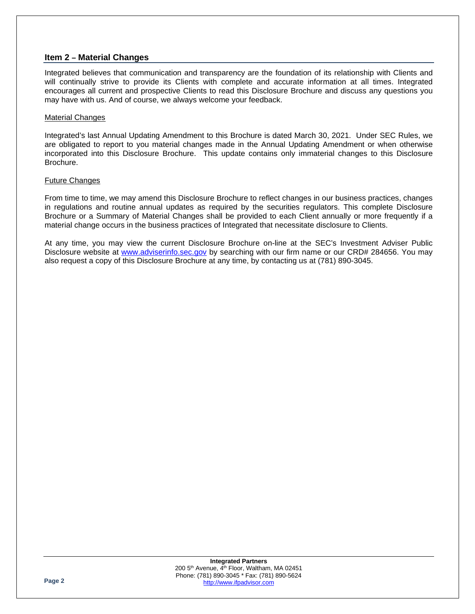### **Item 2 – Material Changes**

Integrated believes that communication and transparency are the foundation of its relationship with Clients and will continually strive to provide its Clients with complete and accurate information at all times. Integrated encourages all current and prospective Clients to read this Disclosure Brochure and discuss any questions you may have with us. And of course, we always welcome your feedback.

### Material Changes

Integrated's last Annual Updating Amendment to this Brochure is dated March 30, 2021. Under SEC Rules, we are obligated to report to you material changes made in the Annual Updating Amendment or when otherwise incorporated into this Disclosure Brochure. This update contains only immaterial changes to this Disclosure Brochure.

### Future Changes

From time to time, we may amend this Disclosure Brochure to reflect changes in our business practices, changes in regulations and routine annual updates as required by the securities regulators. This complete Disclosure Brochure or a Summary of Material Changes shall be provided to each Client annually or more frequently if a material change occurs in the business practices of Integrated that necessitate disclosure to Clients.

At any time, you may view the current Disclosure Brochure on-line at the SEC's Investment Adviser Public Disclosure website at [www.adviserinfo.sec.gov](http://www.adviserinfo.sec.gov/) by searching with our firm name or our CRD# 284656. You may also request a copy of this Disclosure Brochure at any time, by contacting us at (781) 890-3045.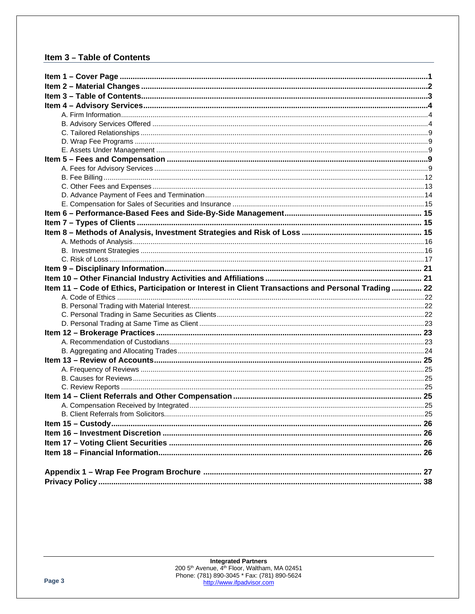### <span id="page-2-0"></span>Item 3 - Table of Contents

| Item 11 - Code of Ethics, Participation or Interest in Client Transactions and Personal Trading 22 |  |
|----------------------------------------------------------------------------------------------------|--|
|                                                                                                    |  |
|                                                                                                    |  |
|                                                                                                    |  |
|                                                                                                    |  |
|                                                                                                    |  |
|                                                                                                    |  |
|                                                                                                    |  |
|                                                                                                    |  |
|                                                                                                    |  |
|                                                                                                    |  |
|                                                                                                    |  |
|                                                                                                    |  |
|                                                                                                    |  |
|                                                                                                    |  |
|                                                                                                    |  |
|                                                                                                    |  |
|                                                                                                    |  |
|                                                                                                    |  |
|                                                                                                    |  |
|                                                                                                    |  |
|                                                                                                    |  |
|                                                                                                    |  |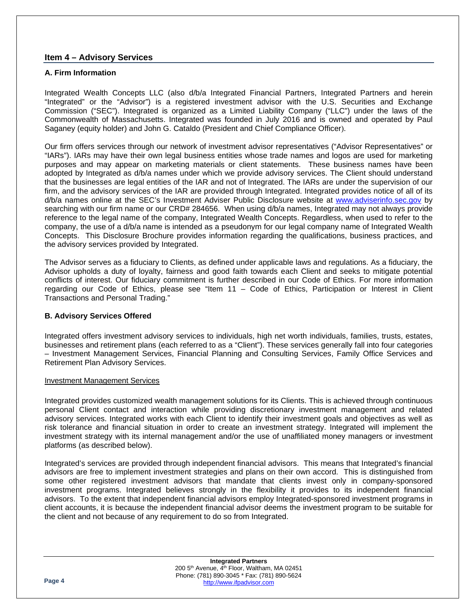### <span id="page-3-0"></span>**Item 4 – Advisory Services**

### <span id="page-3-1"></span>**A. Firm Information**

Integrated Wealth Concepts LLC (also d/b/a Integrated Financial Partners, Integrated Partners and herein "Integrated" or the "Advisor") is a registered investment advisor with the U.S. Securities and Exchange Commission ("SEC"). Integrated is organized as a Limited Liability Company ("LLC") under the laws of the Commonwealth of Massachusetts. Integrated was founded in July 2016 and is owned and operated by Paul Saganey (equity holder) and John G. Cataldo (President and Chief Compliance Officer).

Our firm offers services through our network of investment advisor representatives ("Advisor Representatives" or "IARs"). IARs may have their own legal business entities whose trade names and logos are used for marketing purposes and may appear on marketing materials or client statements. These business names have been adopted by Integrated as d/b/a names under which we provide advisory services. The Client should understand that the businesses are legal entities of the IAR and not of Integrated. The IARs are under the supervision of our firm, and the advisory services of the IAR are provided through Integrated. Integrated provides notice of all of its d/b/a names online at the SEC's Investment Adviser Public Disclosure website at [www.adviserinfo.sec.gov](http://www.adviserinfo.sec.gov/) by searching with our firm name or our CRD# 284656. When using d/b/a names, Integrated may not always provide reference to the legal name of the company, Integrated Wealth Concepts. Regardless, when used to refer to the company, the use of a d/b/a name is intended as a pseudonym for our legal company name of Integrated Wealth Concepts. This Disclosure Brochure provides information regarding the qualifications, business practices, and the advisory services provided by Integrated.

The Advisor serves as a fiduciary to Clients, as defined under applicable laws and regulations. As a fiduciary, the Advisor upholds a duty of loyalty, fairness and good faith towards each Client and seeks to mitigate potential conflicts of interest. Our fiduciary commitment is further described in our Code of Ethics. For more information regarding our Code of Ethics, please see "Item 11 – Code of Ethics, Participation or Interest in Client Transactions and Personal Trading."

### <span id="page-3-2"></span>**B. Advisory Services Offered**

Integrated offers investment advisory services to individuals, high net worth individuals, families, trusts, estates, businesses and retirement plans (each referred to as a "Client"). These services generally fall into four categories – Investment Management Services, Financial Planning and Consulting Services, Family Office Services and Retirement Plan Advisory Services.

### Investment Management Services

Integrated provides customized wealth management solutions for its Clients. This is achieved through continuous personal Client contact and interaction while providing discretionary investment management and related advisory services. Integrated works with each Client to identify their investment goals and objectives as well as risk tolerance and financial situation in order to create an investment strategy. Integrated will implement the investment strategy with its internal management and/or the use of unaffiliated money managers or investment platforms (as described below).

Integrated's services are provided through independent financial advisors. This means that Integrated's financial advisors are free to implement investment strategies and plans on their own accord. This is distinguished from some other registered investment advisors that mandate that clients invest only in company-sponsored investment programs. Integrated believes strongly in the flexibility it provides to its independent financial advisors. To the extent that independent financial advisors employ Integrated-sponsored investment programs in client accounts, it is because the independent financial advisor deems the investment program to be suitable for the client and not because of any requirement to do so from Integrated.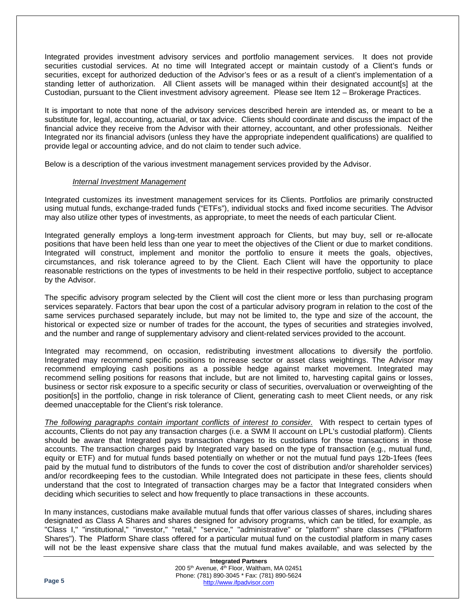Integrated provides investment advisory services and portfolio management services. It does not provide securities custodial services. At no time will Integrated accept or maintain custody of a Client's funds or securities, except for authorized deduction of the Advisor's fees or as a result of a client's implementation of a standing letter of authorization. All Client assets will be managed within their designated account[s] at the Custodian, pursuant to the Client investment advisory agreement. Please see Item 12 – Brokerage Practices.

It is important to note that none of the advisory services described herein are intended as, or meant to be a substitute for, legal, accounting, actuarial, or tax advice. Clients should coordinate and discuss the impact of the financial advice they receive from the Advisor with their attorney, accountant, and other professionals. Neither Integrated nor its financial advisors (unless they have the appropriate independent qualifications) are qualified to provide legal or accounting advice, and do not claim to tender such advice.

Below is a description of the various investment management services provided by the Advisor.

### *Internal Investment Management*

Integrated customizes its investment management services for its Clients. Portfolios are primarily constructed using mutual funds, exchange-traded funds ("ETFs"), individual stocks and fixed income securities. The Advisor may also utilize other types of investments, as appropriate, to meet the needs of each particular Client.

Integrated generally employs a long-term investment approach for Clients, but may buy, sell or re-allocate positions that have been held less than one year to meet the objectives of the Client or due to market conditions. Integrated will construct, implement and monitor the portfolio to ensure it meets the goals, objectives, circumstances, and risk tolerance agreed to by the Client. Each Client will have the opportunity to place reasonable restrictions on the types of investments to be held in their respective portfolio, subject to acceptance by the Advisor.

The specific advisory program selected by the Client will cost the client more or less than purchasing program services separately. Factors that bear upon the cost of a particular advisory program in relation to the cost of the same services purchased separately include, but may not be limited to, the type and size of the account, the historical or expected size or number of trades for the account, the types of securities and strategies involved, and the number and range of supplementary advisory and client-related services provided to the account.

Integrated may recommend, on occasion, redistributing investment allocations to diversify the portfolio. Integrated may recommend specific positions to increase sector or asset class weightings. The Advisor may recommend employing cash positions as a possible hedge against market movement. Integrated may recommend selling positions for reasons that include, but are not limited to, harvesting capital gains or losses, business or sector risk exposure to a specific security or class of securities, overvaluation or overweighting of the position[s] in the portfolio, change in risk tolerance of Client, generating cash to meet Client needs, or any risk deemed unacceptable for the Client's risk tolerance.

*The following paragraphs contain important conflicts of interest to consider.* With respect to certain types of accounts, Clients do not pay any transaction charges (i.e. a SWM II account on LPL's custodial platform). Clients should be aware that Integrated pays transaction charges to its custodians for those transactions in those accounts. The transaction charges paid by Integrated vary based on the type of transaction (e.g., mutual fund, equity or ETF) and for mutual funds based potentially on whether or not the mutual fund pays 12b-1fees (fees paid by the mutual fund to distributors of the funds to cover the cost of distribution and/or shareholder services) and/or recordkeeping fees to the custodian. While Integrated does not participate in these fees, clients should understand that the cost to Integrated of transaction charges may be a factor that Integrated considers when deciding which securities to select and how frequently to place transactions in these accounts.

In many instances, custodians make available mutual funds that offer various classes of shares, including shares designated as Class A Shares and shares designed for advisory programs, which can be titled, for example, as "Class I," "institutional," "investor," "retail," "service," "administrative" or "platform" share classes ("Platform Shares"). The Platform Share class offered for a particular mutual fund on the custodial platform in many cases will not be the least expensive share class that the mutual fund makes available, and was selected by the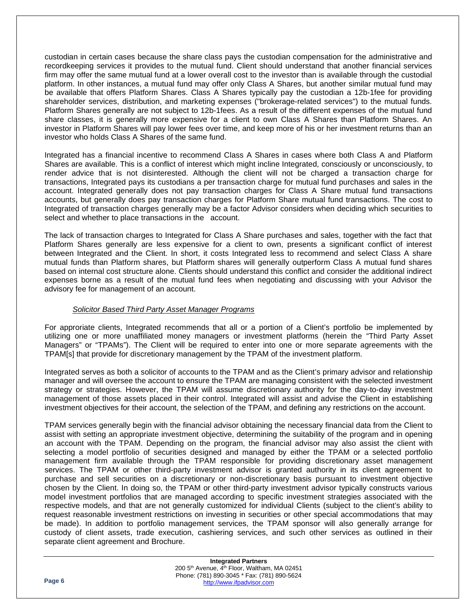custodian in certain cases because the share class pays the custodian compensation for the administrative and recordkeeping services it provides to the mutual fund. Client should understand that another financial services firm may offer the same mutual fund at a lower overall cost to the investor than is available through the custodial platform. In other instances, a mutual fund may offer only Class A Shares, but another similar mutual fund may be available that offers Platform Shares. Class A Shares typically pay the custodian a 12b-1fee for providing shareholder services, distribution, and marketing expenses ("brokerage-related services") to the mutual funds. Platform Shares generally are not subject to 12b-1fees. As a result of the different expenses of the mutual fund share classes, it is generally more expensive for a client to own Class A Shares than Platform Shares. An investor in Platform Shares will pay lower fees over time, and keep more of his or her investment returns than an investor who holds Class A Shares of the same fund.

Integrated has a financial incentive to recommend Class A Shares in cases where both Class A and Platform Shares are available. This is a conflict of interest which might incline Integrated, consciously or unconsciously, to render advice that is not disinterested. Although the client will not be charged a transaction charge for transactions, Integrated pays its custodians a per transaction charge for mutual fund purchases and sales in the account. Integrated generally does not pay transaction charges for Class A Share mutual fund transactions accounts, but generally does pay transaction charges for Platform Share mutual fund transactions. The cost to Integrated of transaction charges generally may be a factor Advisor considers when deciding which securities to select and whether to place transactions in the account.

The lack of transaction charges to Integrated for Class A Share purchases and sales, together with the fact that Platform Shares generally are less expensive for a client to own, presents a significant conflict of interest between Integrated and the Client. In short, it costs Integrated less to recommend and select Class A share mutual funds than Platform shares, but Platform shares will generally outperform Class A mutual fund shares based on internal cost structure alone. Clients should understand this conflict and consider the additional indirect expenses borne as a result of the mutual fund fees when negotiating and discussing with your Advisor the advisory fee for management of an account.

### *Solicitor Based Third Party Asset Manager Programs*

For approriate clients, Integrated recommends that all or a portion of a Client's portfolio be implemented by utilizing one or more unaffiliated money managers or investment platforms (herein the "Third Party Asset Managers" or "TPAMs"). The Client will be required to enter into one or more separate agreements with the TPAM[s] that provide for discretionary management by the TPAM of the investment platform.

Integrated serves as both a solicitor of accounts to the TPAM and as the Client's primary advisor and relationship manager and will oversee the account to ensure the TPAM are managing consistent with the selected investment strategy or strategies. However, the TPAM will assume discretionary authority for the day-to-day investment management of those assets placed in their control. Integrated will assist and advise the Client in establishing investment objectives for their account, the selection of the TPAM, and defining any restrictions on the account.

TPAM services generally begin with the financial advisor obtaining the necessary financial data from the Client to assist with setting an appropriate investment objective, determining the suitability of the program and in opening an account with the TPAM. Depending on the program, the financial advisor may also assist the client with selecting a model portfolio of securities designed and managed by either the TPAM or a selected portfolio management firm available through the TPAM responsible for providing discretionary asset management services. The TPAM or other third-party investment advisor is granted authority in its client agreement to purchase and sell securities on a discretionary or non-discretionary basis pursuant to investment objective chosen by the Client. In doing so, the TPAM or other third-party investment advisor typically constructs various model investment portfolios that are managed according to specific investment strategies associated with the respective models, and that are not generally customized for individual Clients (subject to the client's ability to request reasonable investment restrictions on investing in securities or other special accommodations that may be made). In addition to portfolio management services, the TPAM sponsor will also generally arrange for custody of client assets, trade execution, cashiering services, and such other services as outlined in their separate client agreement and Brochure.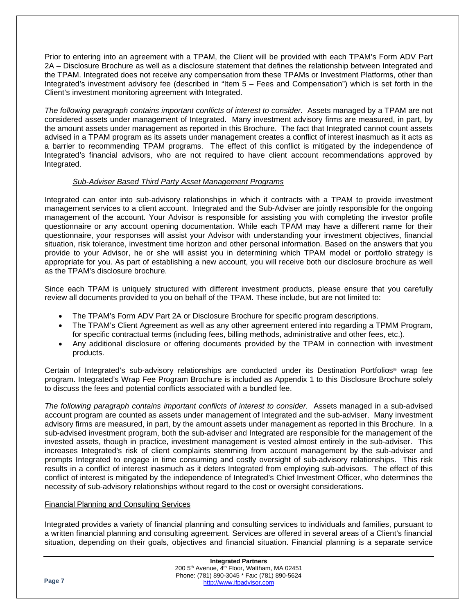Prior to entering into an agreement with a TPAM, the Client will be provided with each TPAM's Form ADV Part 2A – Disclosure Brochure as well as a disclosure statement that defines the relationship between Integrated and the TPAM. Integrated does not receive any compensation from these TPAMs or Investment Platforms, other than Integrated's investment advisory fee (described in "Item 5 – Fees and Compensation") which is set forth in the Client's investment monitoring agreement with Integrated.

*The following paragraph contains important conflicts of interest to consider.* Assets managed by a TPAM are not considered assets under management of Integrated. Many investment advisory firms are measured, in part, by the amount assets under management as reported in this Brochure. The fact that Integrated cannot count assets advised in a TPAM program as its assets under management creates a conflict of interest inasmuch as it acts as a barrier to recommending TPAM programs. The effect of this conflict is mitigated by the independence of Integrated's financial advisors, who are not required to have client account recommendations approved by Integrated.

### *Sub-Adviser Based Third Party Asset Management Programs*

Integrated can enter into sub-advisory relationships in which it contracts with a TPAM to provide investment management services to a client account. Integrated and the Sub-Adviser are jointly responsible for the ongoing management of the account. Your Advisor is responsible for assisting you with completing the investor profile questionnaire or any account opening documentation. While each TPAM may have a different name for their questionnaire, your responses will assist your Advisor with understanding your investment objectives, financial situation, risk tolerance, investment time horizon and other personal information. Based on the answers that you provide to your Advisor, he or she will assist you in determining which TPAM model or portfolio strategy is appropriate for you. As part of establishing a new account, you will receive both our disclosure brochure as well as the TPAM's disclosure brochure.

Since each TPAM is uniquely structured with different investment products, please ensure that you carefully review all documents provided to you on behalf of the TPAM. These include, but are not limited to:

- The TPAM's Form ADV Part 2A or Disclosure Brochure for specific program descriptions.
- The TPAM's Client Agreement as well as any other agreement entered into regarding a TPMM Program, for specific contractual terms (including fees, billing methods, administrative and other fees, etc.).
- Any additional disclosure or offering documents provided by the TPAM in connection with investment products.

Certain of Integrated's sub-advisory relationships are conducted under its Destination Portfolios® wrap fee program. Integrated's Wrap Fee Program Brochure is included as Appendix 1 to this Disclosure Brochure solely to discuss the fees and potential conflicts associated with a bundled fee.

*The following paragraph contains important conflicts of interest to consider.* Assets managed in a sub-advised account program are counted as assets under management of Integrated and the sub-adviser. Many investment advisory firms are measured, in part, by the amount assets under management as reported in this Brochure. In a sub-advised investment program, both the sub-adviser and Integrated are responsible for the management of the invested assets, though in practice, investment management is vested almost entirely in the sub-adviser. This increases Integrated's risk of client complaints stemming from account management by the sub-adviser and prompts Integrated to engage in time consuming and costly oversight of sub-advisory relationships. This risk results in a conflict of interest inasmuch as it deters Integrated from employing sub-advisors. The effect of this conflict of interest is mitigated by the independence of Integrated's Chief Investment Officer, who determines the necessity of sub-advisory relationships without regard to the cost or oversight considerations.

### Financial Planning and Consulting Services

Integrated provides a variety of financial planning and consulting services to individuals and families, pursuant to a written financial planning and consulting agreement. Services are offered in several areas of a Client's financial situation, depending on their goals, objectives and financial situation. Financial planning is a separate service

| <b>Integrated Partners</b> |                                                                      |  |
|----------------------------|----------------------------------------------------------------------|--|
| Page 7                     | 200 5 <sup>th</sup> Avenue, 4 <sup>th</sup> Floor, Waltham, MA 02451 |  |
|                            | Phone: (781) 890-3045 * Fax: (781) 890-5624                          |  |
|                            | http://www.ifpadvisor.com                                            |  |
|                            |                                                                      |  |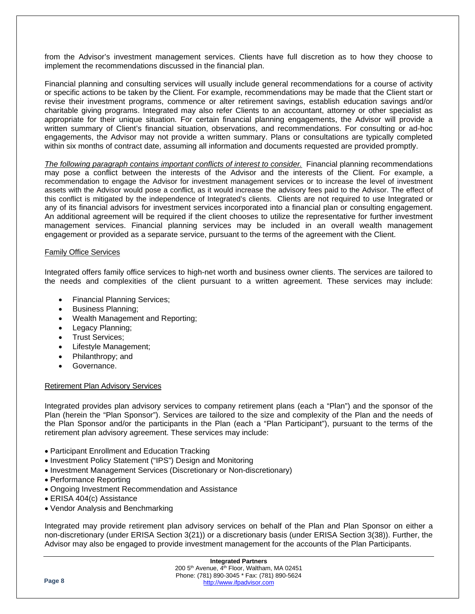from the Advisor's investment management services. Clients have full discretion as to how they choose to implement the recommendations discussed in the financial plan.

Financial planning and consulting services will usually include general recommendations for a course of activity or specific actions to be taken by the Client. For example, recommendations may be made that the Client start or revise their investment programs, commence or alter retirement savings, establish education savings and/or charitable giving programs. Integrated may also refer Clients to an accountant, attorney or other specialist as appropriate for their unique situation. For certain financial planning engagements, the Advisor will provide a written summary of Client's financial situation, observations, and recommendations. For consulting or ad-hoc engagements, the Advisor may not provide a written summary. Plans or consultations are typically completed within six months of contract date, assuming all information and documents requested are provided promptly.

*The following paragraph contains important conflicts of interest to consider.* Financial planning recommendations may pose a conflict between the interests of the Advisor and the interests of the Client. For example, a recommendation to engage the Advisor for investment management services or to increase the level of investment assets with the Advisor would pose a conflict, as it would increase the advisory fees paid to the Advisor. The effect of this conflict is mitigated by the independence of Integrated's clients. Clients are not required to use Integrated or any of its financial advisors for investment services incorporated into a financial plan or consulting engagement. An additional agreement will be required if the client chooses to utilize the representative for further investment management services. Financial planning services may be included in an overall wealth management engagement or provided as a separate service, pursuant to the terms of the agreement with the Client.

### Family Office Services

Integrated offers family office services to high-net worth and business owner clients. The services are tailored to the needs and complexities of the client pursuant to a written agreement. These services may include:

- Financial Planning Services;
- Business Planning;
- Wealth Management and Reporting;
- Legacy Planning;
- Trust Services;
- Lifestyle Management;
- Philanthropy; and
- Governance.

### Retirement Plan Advisory Services

Integrated provides plan advisory services to company retirement plans (each a "Plan") and the sponsor of the Plan (herein the "Plan Sponsor"). Services are tailored to the size and complexity of the Plan and the needs of the Plan Sponsor and/or the participants in the Plan (each a "Plan Participant"), pursuant to the terms of the retirement plan advisory agreement. These services may include:

- Participant Enrollment and Education Tracking
- Investment Policy Statement ("IPS") Design and Monitoring
- Investment Management Services (Discretionary or Non-discretionary)
- Performance Reporting
- Ongoing Investment Recommendation and Assistance
- ERISA 404(c) Assistance
- Vendor Analysis and Benchmarking

Integrated may provide retirement plan advisory services on behalf of the Plan and Plan Sponsor on either a non-discretionary (under ERISA Section 3(21)) or a discretionary basis (under ERISA Section 3(38)). Further, the Advisor may also be engaged to provide investment management for the accounts of the Plan Participants.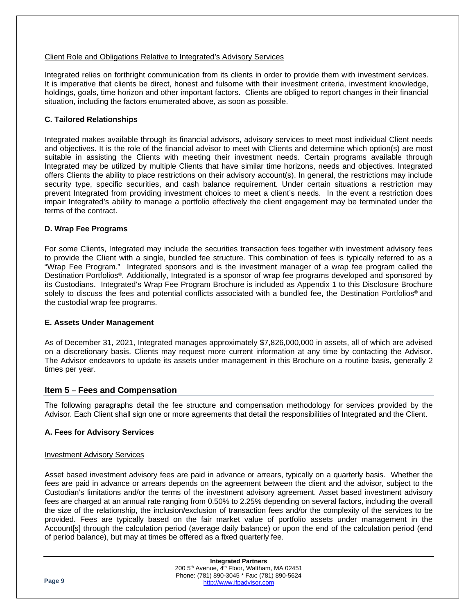### Client Role and Obligations Relative to Integrated's Advisory Services

Integrated relies on forthright communication from its clients in order to provide them with investment services. It is imperative that clients be direct, honest and fulsome with their investment criteria, investment knowledge, holdings, goals, time horizon and other important factors. Clients are obliged to report changes in their financial situation, including the factors enumerated above, as soon as possible.

### <span id="page-8-0"></span>**C. Tailored Relationships**

Integrated makes available through its financial advisors, advisory services to meet most individual Client needs and objectives. It is the role of the financial advisor to meet with Clients and determine which option(s) are most suitable in assisting the Clients with meeting their investment needs. Certain programs available through Integrated may be utilized by multiple Clients that have similar time horizons, needs and objectives. Integrated offers Clients the ability to place restrictions on their advisory account(s). In general, the restrictions may include security type, specific securities, and cash balance requirement. Under certain situations a restriction may prevent Integrated from providing investment choices to meet a client's needs. In the event a restriction does impair Integrated's ability to manage a portfolio effectively the client engagement may be terminated under the terms of the contract.

### <span id="page-8-1"></span>**D. Wrap Fee Programs**

For some Clients, Integrated may include the securities transaction fees together with investment advisory fees to provide the Client with a single, bundled fee structure. This combination of fees is typically referred to as a "Wrap Fee Program." Integrated sponsors and is the investment manager of a wrap fee program called the Destination Portfolios®. Additionally, Integrated is a sponsor of wrap fee programs developed and sponsored by its Custodians. Integrated's Wrap Fee Program Brochure is included as Appendix 1 to this Disclosure Brochure solely to discuss the fees and potential conflicts associated with a bundled fee, the Destination Portfolios<sup>®</sup> and the custodial wrap fee programs.

### <span id="page-8-2"></span>**E. Assets Under Management**

As of December 31, 2021, Integrated manages approximately \$7,826,000,000 in assets, all of which are advised on a discretionary basis. Clients may request more current information at any time by contacting the Advisor. The Advisor endeavors to update its assets under management in this Brochure on a routine basis, generally 2 times per year.

### <span id="page-8-3"></span>**Item 5 – Fees and Compensation**

The following paragraphs detail the fee structure and compensation methodology for services provided by the Advisor. Each Client shall sign one or more agreements that detail the responsibilities of Integrated and the Client.

### <span id="page-8-4"></span>**A. Fees for Advisory Services**

### Investment Advisory Services

Asset based investment advisory fees are paid in advance or arrears, typically on a quarterly basis. Whether the fees are paid in advance or arrears depends on the agreement between the client and the advisor, subject to the Custodian's limitations and/or the terms of the investment advisory agreement. Asset based investment advisory fees are charged at an annual rate ranging from 0.50% to 2.25% depending on several factors, including the overall the size of the relationship, the inclusion/exclusion of transaction fees and/or the complexity of the services to be provided. Fees are typically based on the fair market value of portfolio assets under management in the Account[s] through the calculation period (average daily balance) or upon the end of the calculation period (end of period balance), but may at times be offered as a fixed quarterly fee.

|        | <b>Integrated Partners</b>                                           |  |
|--------|----------------------------------------------------------------------|--|
| Page 9 | 200 5 <sup>th</sup> Avenue, 4 <sup>th</sup> Floor, Waltham, MA 02451 |  |
|        | Phone: (781) 890-3045 * Fax: (781) 890-5624                          |  |
|        | http://www.ifpadvisor.com                                            |  |
|        |                                                                      |  |
|        |                                                                      |  |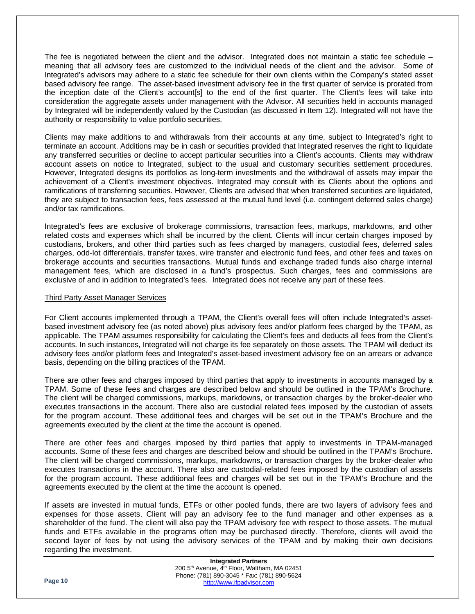The fee is negotiated between the client and the advisor. Integrated does not maintain a static fee schedule – meaning that all advisory fees are customized to the individual needs of the client and the advisor. Some of Integrated's advisors may adhere to a static fee schedule for their own clients within the Company's stated asset based advisory fee range. The asset-based investment advisory fee in the first quarter of service is prorated from the inception date of the Client's account[s] to the end of the first quarter. The Client's fees will take into consideration the aggregate assets under management with the Advisor. All securities held in accounts managed by Integrated will be independently valued by the Custodian (as discussed in Item 12). Integrated will not have the authority or responsibility to value portfolio securities.

Clients may make additions to and withdrawals from their accounts at any time, subject to Integrated's right to terminate an account. Additions may be in cash or securities provided that Integrated reserves the right to liquidate any transferred securities or decline to accept particular securities into a Client's accounts. Clients may withdraw account assets on notice to Integrated, subject to the usual and customary securities settlement procedures. However, Integrated designs its portfolios as long-term investments and the withdrawal of assets may impair the achievement of a Client's investment objectives. Integrated may consult with its Clients about the options and ramifications of transferring securities. However, Clients are advised that when transferred securities are liquidated, they are subject to transaction fees, fees assessed at the mutual fund level (i.e. contingent deferred sales charge) and/or tax ramifications.

Integrated's fees are exclusive of brokerage commissions, transaction fees, markups, markdowns, and other related costs and expenses which shall be incurred by the client. Clients will incur certain charges imposed by custodians, brokers, and other third parties such as fees charged by managers, custodial fees, deferred sales charges, odd-lot differentials, transfer taxes, wire transfer and electronic fund fees, and other fees and taxes on brokerage accounts and securities transactions. Mutual funds and exchange traded funds also charge internal management fees, which are disclosed in a fund's prospectus. Such charges, fees and commissions are exclusive of and in addition to Integrated's fees. Integrated does not receive any part of these fees.

### Third Party Asset Manager Services

For Client accounts implemented through a TPAM, the Client's overall fees will often include Integrated's assetbased investment advisory fee (as noted above) plus advisory fees and/or platform fees charged by the TPAM, as applicable. The TPAM assumes responsibility for calculating the Client's fees and deducts all fees from the Client's accounts. In such instances, Integrated will not charge its fee separately on those assets. The TPAM will deduct its advisory fees and/or platform fees and Integrated's asset-based investment advisory fee on an arrears or advance basis, depending on the billing practices of the TPAM.

There are other fees and charges imposed by third parties that apply to investments in accounts managed by a TPAM. Some of these fees and charges are described below and should be outlined in the TPAM's Brochure. The client will be charged commissions, markups, markdowns, or transaction charges by the broker-dealer who executes transactions in the account. There also are custodial related fees imposed by the custodian of assets for the program account. These additional fees and charges will be set out in the TPAM's Brochure and the agreements executed by the client at the time the account is opened.

There are other fees and charges imposed by third parties that apply to investments in TPAM-managed accounts. Some of these fees and charges are described below and should be outlined in the TPAM's Brochure. The client will be charged commissions, markups, markdowns, or transaction charges by the broker-dealer who executes transactions in the account. There also are custodial-related fees imposed by the custodian of assets for the program account. These additional fees and charges will be set out in the TPAM's Brochure and the agreements executed by the client at the time the account is opened.

If assets are invested in mutual funds, ETFs or other pooled funds, there are two layers of advisory fees and expenses for those assets. Client will pay an advisory fee to the fund manager and other expenses as a shareholder of the fund. The client will also pay the TPAM advisory fee with respect to those assets. The mutual funds and ETFs available in the programs often may be purchased directly. Therefore, clients will avoid the second layer of fees by not using the advisory services of the TPAM and by making their own decisions regarding the investment.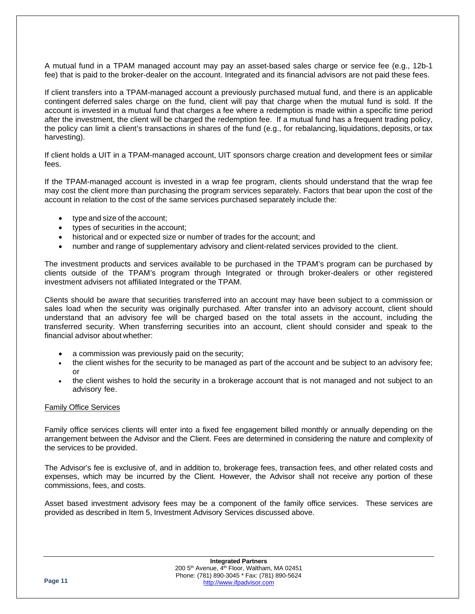A mutual fund in a TPAM managed account may pay an asset-based sales charge or service fee (e.g., 12b-1 fee) that is paid to the broker-dealer on the account. Integrated and its financial advisors are not paid these fees.

If client transfers into a TPAM-managed account a previously purchased mutual fund, and there is an applicable contingent deferred sales charge on the fund, client will pay that charge when the mutual fund is sold. If the account is invested in a mutual fund that charges a fee where a redemption is made within a specific time period after the investment, the client will be charged the redemption fee. If a mutual fund has a frequent trading policy, the policy can limit a client's transactions in shares of the fund (e.g., for rebalancing, liquidations, deposits, or tax harvesting).

If client holds a UIT in a TPAM-managed account, UIT sponsors charge creation and development fees or similar fees.

If the TPAM-managed account is invested in a wrap fee program, clients should understand that the wrap fee may cost the client more than purchasing the program services separately. Factors that bear upon the cost of the account in relation to the cost of the same services purchased separately include the:

- type and size of the account;
- types of securities in the account:
- historical and or expected size or number of trades for the account; and
- number and range of supplementary advisory and client-related services provided to the client.

The investment products and services available to be purchased in the TPAM's program can be purchased by clients outside of the TPAM's program through Integrated or through broker-dealers or other registered investment advisers not affiliated Integrated or the TPAM.

Clients should be aware that securities transferred into an account may have been subject to a commission or sales load when the security was originally purchased. After transfer into an advisory account, client should understand that an advisory fee will be charged based on the total assets in the account, including the transferred security. When transferring securities into an account, client should consider and speak to the financial advisor about whether:

- a commission was previously paid on the security;
- the client wishes for the security to be managed as part of the account and be subject to an advisory fee; or
- the client wishes to hold the security in a brokerage account that is not managed and not subject to an advisory fee.

### Family Office Services

Family office services clients will enter into a fixed fee engagement billed monthly or annually depending on the arrangement between the Advisor and the Client. Fees are determined in considering the nature and complexity of the services to be provided.

The Advisor's fee is exclusive of, and in addition to, brokerage fees, transaction fees, and other related costs and expenses, which may be incurred by the Client. However, the Advisor shall not receive any portion of these commissions, fees, and costs.

Asset based investment advisory fees may be a component of the family office services. These services are provided as described in Item 5, Investment Advisory Services discussed above.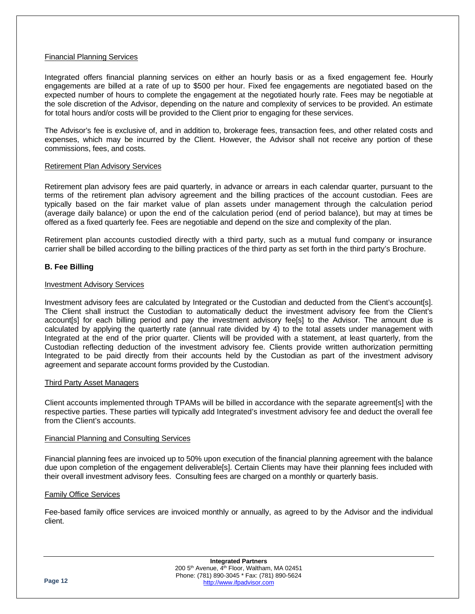### Financial Planning Services

Integrated offers financial planning services on either an hourly basis or as a fixed engagement fee. Hourly engagements are billed at a rate of up to \$500 per hour. Fixed fee engagements are negotiated based on the expected number of hours to complete the engagement at the negotiated hourly rate. Fees may be negotiable at the sole discretion of the Advisor, depending on the nature and complexity of services to be provided. An estimate for total hours and/or costs will be provided to the Client prior to engaging for these services.

The Advisor's fee is exclusive of, and in addition to, brokerage fees, transaction fees, and other related costs and expenses, which may be incurred by the Client. However, the Advisor shall not receive any portion of these commissions, fees, and costs.

### Retirement Plan Advisory Services

Retirement plan advisory fees are paid quarterly, in advance or arrears in each calendar quarter, pursuant to the terms of the retirement plan advisory agreement and the billing practices of the account custodian. Fees are typically based on the fair market value of plan assets under management through the calculation period (average daily balance) or upon the end of the calculation period (end of period balance), but may at times be offered as a fixed quarterly fee. Fees are negotiable and depend on the size and complexity of the plan.

Retirement plan accounts custodied directly with a third party, such as a mutual fund company or insurance carrier shall be billed according to the billing practices of the third party as set forth in the third party's Brochure.

### <span id="page-11-0"></span>**B. Fee Billing**

### Investment Advisory Services

Investment advisory fees are calculated by Integrated or the Custodian and deducted from the Client's account[s]. The Client shall instruct the Custodian to automatically deduct the investment advisory fee from the Client's account[s] for each billing period and pay the investment advisory fee[s] to the Advisor. The amount due is calculated by applying the quartertly rate (annual rate divided by 4) to the total assets under management with Integrated at the end of the prior quarter. Clients will be provided with a statement, at least quarterly, from the Custodian reflecting deduction of the investment advisory fee. Clients provide written authorization permitting Integrated to be paid directly from their accounts held by the Custodian as part of the investment advisory agreement and separate account forms provided by the Custodian.

### Third Party Asset Managers

Client accounts implemented through TPAMs will be billed in accordance with the separate agreement[s] with the respective parties. These parties will typically add Integrated's investment advisory fee and deduct the overall fee from the Client's accounts.

### Financial Planning and Consulting Services

Financial planning fees are invoiced up to 50% upon execution of the financial planning agreement with the balance due upon completion of the engagement deliverable[s]. Certain Clients may have their planning fees included with their overall investment advisory fees. Consulting fees are charged on a monthly or quarterly basis.

### Family Office Services

Fee-based family office services are invoiced monthly or annually, as agreed to by the Advisor and the individual client.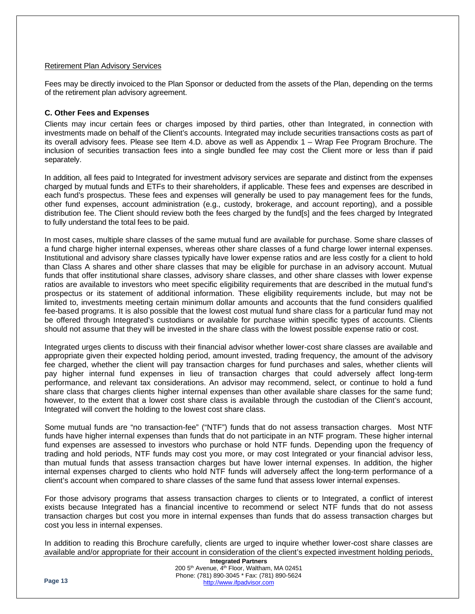### Retirement Plan Advisory Services

Fees may be directly invoiced to the Plan Sponsor or deducted from the assets of the Plan, depending on the terms of the retirement plan advisory agreement.

### <span id="page-12-0"></span>**C. Other Fees and Expenses**

Clients may incur certain fees or charges imposed by third parties, other than Integrated, in connection with investments made on behalf of the Client's accounts. Integrated may include securities transactions costs as part of its overall advisory fees. Please see Item 4.D. above as well as Appendix 1 – Wrap Fee Program Brochure. The inclusion of securities transaction fees into a single bundled fee may cost the Client more or less than if paid separately.

In addition, all fees paid to Integrated for investment advisory services are separate and distinct from the expenses charged by mutual funds and ETFs to their shareholders, if applicable. These fees and expenses are described in each fund's prospectus. These fees and expenses will generally be used to pay management fees for the funds, other fund expenses, account administration (e.g., custody, brokerage, and account reporting), and a possible distribution fee. The Client should review both the fees charged by the fund[s] and the fees charged by Integrated to fully understand the total fees to be paid.

In most cases, multiple share classes of the same mutual fund are available for purchase. Some share classes of a fund charge higher internal expenses, whereas other share classes of a fund charge lower internal expenses. Institutional and advisory share classes typically have lower expense ratios and are less costly for a client to hold than Class A shares and other share classes that may be eligible for purchase in an advisory account. Mutual funds that offer institutional share classes, advisory share classes, and other share classes with lower expense ratios are available to investors who meet specific eligibility requirements that are described in the mutual fund's prospectus or its statement of additional information. These eligibility requirements include, but may not be limited to, investments meeting certain minimum dollar amounts and accounts that the fund considers qualified fee-based programs. It is also possible that the lowest cost mutual fund share class for a particular fund may not be offered through Integrated's custodians or available for purchase within specific types of accounts. Clients should not assume that they will be invested in the share class with the lowest possible expense ratio or cost.

Integrated urges clients to discuss with their financial advisor whether lower-cost share classes are available and appropriate given their expected holding period, amount invested, trading frequency, the amount of the advisory fee charged, whether the client will pay transaction charges for fund purchases and sales, whether clients will pay higher internal fund expenses in lieu of transaction charges that could adversely affect long-term performance, and relevant tax considerations. An advisor may recommend, select, or continue to hold a fund share class that charges clients higher internal expenses than other available share classes for the same fund; however, to the extent that a lower cost share class is available through the custodian of the Client's account, Integrated will convert the holding to the lowest cost share class.

Some mutual funds are "no transaction-fee" ("NTF") funds that do not assess transaction charges. Most NTF funds have higher internal expenses than funds that do not participate in an NTF program. These higher internal fund expenses are assessed to investors who purchase or hold NTF funds. Depending upon the frequency of trading and hold periods, NTF funds may cost you more, or may cost Integrated or your financial advisor less, than mutual funds that assess transaction charges but have lower internal expenses. In addition, the higher internal expenses charged to clients who hold NTF funds will adversely affect the long-term performance of a client's account when compared to share classes of the same fund that assess lower internal expenses.

For those advisory programs that assess transaction charges to clients or to Integrated, a conflict of interest exists because Integrated has a financial incentive to recommend or select NTF funds that do not assess transaction charges but cost you more in internal expenses than funds that do assess transaction charges but cost you less in internal expenses.

In addition to reading this Brochure carefully, clients are urged to inquire whether lower-cost share classes are available and/or appropriate for their account in consideration of the client's expected investment holding periods,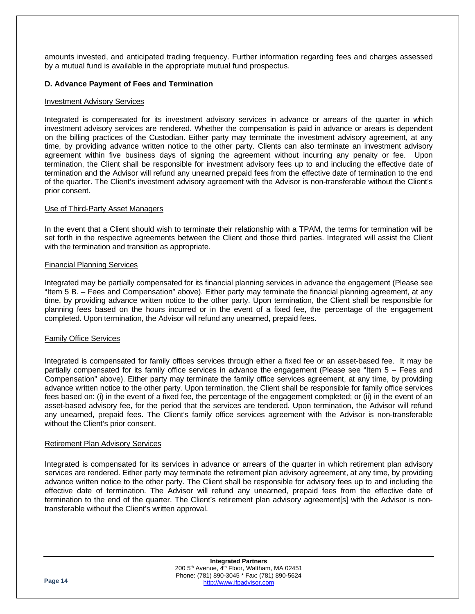amounts invested, and anticipated trading frequency. Further information regarding fees and charges assessed by a mutual fund is available in the appropriate mutual fund prospectus.

### <span id="page-13-0"></span>**D. Advance Payment of Fees and Termination**

### Investment Advisory Services

Integrated is compensated for its investment advisory services in advance or arrears of the quarter in which investment advisory services are rendered. Whether the compensation is paid in advance or arears is dependent on the billing practices of the Custodian. Either party may terminate the investment advisory agreement, at any time, by providing advance written notice to the other party. Clients can also terminate an investment advisory agreement within five business days of signing the agreement without incurring any penalty or fee. Upon termination, the Client shall be responsible for investment advisory fees up to and including the effective date of termination and the Advisor will refund any unearned prepaid fees from the effective date of termination to the end of the quarter. The Client's investment advisory agreement with the Advisor is non-transferable without the Client's prior consent.

### Use of Third-Party Asset Managers

In the event that a Client should wish to terminate their relationship with a TPAM, the terms for termination will be set forth in the respective agreements between the Client and those third parties. Integrated will assist the Client with the termination and transition as appropriate.

### Financial Planning Services

Integrated may be partially compensated for its financial planning services in advance the engagement (Please see "Item 5 B. – Fees and Compensation" above). Either party may terminate the financial planning agreement, at any time, by providing advance written notice to the other party. Upon termination, the Client shall be responsible for planning fees based on the hours incurred or in the event of a fixed fee, the percentage of the engagement completed. Upon termination, the Advisor will refund any unearned, prepaid fees.

### Family Office Services

Integrated is compensated for family offices services through either a fixed fee or an asset-based fee. It may be partially compensated for its family office services in advance the engagement (Please see "Item 5 – Fees and Compensation" above). Either party may terminate the family office services agreement, at any time, by providing advance written notice to the other party. Upon termination, the Client shall be responsible for family office services fees based on: (i) in the event of a fixed fee, the percentage of the engagement completed; or (ii) in the event of an asset-based advisory fee, for the period that the services are tendered. Upon termination, the Advisor will refund any unearned, prepaid fees. The Client's family office services agreement with the Advisor is non-transferable without the Client's prior consent.

### Retirement Plan Advisory Services

Integrated is compensated for its services in advance or arrears of the quarter in which retirement plan advisory services are rendered. Either party may terminate the retirement plan advisory agreement, at any time, by providing advance written notice to the other party. The Client shall be responsible for advisory fees up to and including the effective date of termination. The Advisor will refund any unearned, prepaid fees from the effective date of termination to the end of the quarter. The Client's retirement plan advisory agreement[s] with the Advisor is nontransferable without the Client's written approval.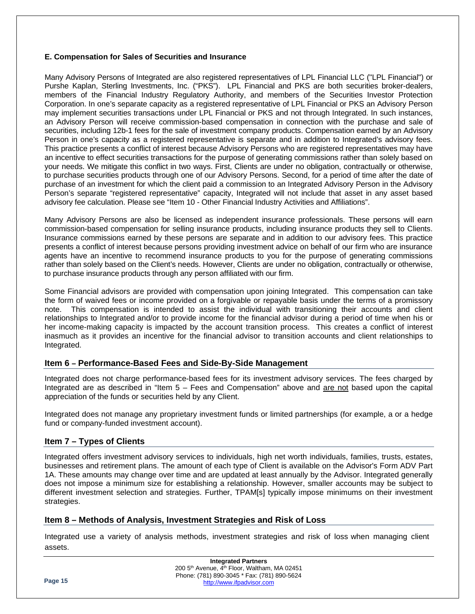### <span id="page-14-0"></span>**E. Compensation for Sales of Securities and Insurance**

Many Advisory Persons of Integrated are also registered representatives of LPL Financial LLC ("LPL Financial") or Purshe Kaplan, Sterling Investments, Inc. ("PKS"). LPL Financial and PKS are both securities broker-dealers, members of the Financial Industry Regulatory Authority, and members of the Securities Investor Protection Corporation. In one's separate capacity as a registered representative of LPL Financial or PKS an Advisory Person may implement securities transactions under LPL Financial or PKS and not through Integrated. In such instances, an Advisory Person will receive commission-based compensation in connection with the purchase and sale of securities, including 12b-1 fees for the sale of investment company products. Compensation earned by an Advisory Person in one's capacity as a registered representative is separate and in addition to Integrated's advisory fees. This practice presents a conflict of interest because Advisory Persons who are registered representatives may have an incentive to effect securities transactions for the purpose of generating commissions rather than solely based on your needs. We mitigate this conflict in two ways. First, Clients are under no obligation, contractually or otherwise, to purchase securities products through one of our Advisory Persons. Second, for a period of time after the date of purchase of an investment for which the client paid a commission to an Integrated Advisory Person in the Advisory Person's separate "registered representative" capacity, Integrated will not include that asset in any asset based advisory fee calculation. Please see "Item 10 - Other Financial Industry Activities and Affiliations".

Many Advisory Persons are also be licensed as independent insurance professionals. These persons will earn commission-based compensation for selling insurance products, including insurance products they sell to Clients. Insurance commissions earned by these persons are separate and in addition to our advisory fees. This practice presents a conflict of interest because persons providing investment advice on behalf of our firm who are insurance agents have an incentive to recommend insurance products to you for the purpose of generating commissions rather than solely based on the Client's needs. However, Clients are under no obligation, contractually or otherwise, to purchase insurance products through any person affiliated with our firm.

Some Financial advisors are provided with compensation upon joining Integrated. This compensation can take the form of waived fees or income provided on a forgivable or repayable basis under the terms of a promissory note. This compensation is intended to assist the individual with transitioning their accounts and client relationships to Integrated and/or to provide income for the financial advisor during a period of time when his or her income-making capacity is impacted by the account transition process. This creates a conflict of interest inasmuch as it provides an incentive for the financial advisor to transition accounts and client relationships to Integrated.

### <span id="page-14-1"></span>**Item 6 – Performance-Based Fees and Side-By-Side Management**

Integrated does not charge performance-based fees for its investment advisory services. The fees charged by Integrated are as described in "Item 5 – Fees and Compensation" above and are not based upon the capital appreciation of the funds or securities held by any Client.

Integrated does not manage any proprietary investment funds or limited partnerships (for example, a or a hedge fund or company-funded investment account).

### <span id="page-14-2"></span>**Item 7 – Types of Clients**

Integrated offers investment advisory services to individuals, high net worth individuals, families, trusts, estates, businesses and retirement plans. The amount of each type of Client is available on the Advisor's Form ADV Part 1A. These amounts may change over time and are updated at least annually by the Advisor. Integrated generally does not impose a minimum size for establishing a relationship. However, smaller accounts may be subject to different investment selection and strategies. Further, TPAM[s] typically impose minimums on their investment strategies.

### <span id="page-14-3"></span>**Item 8 – Methods of Analysis, Investment Strategies and Risk of Loss**

Integrated use a variety of analysis methods, investment strategies and risk of loss when managing client assets.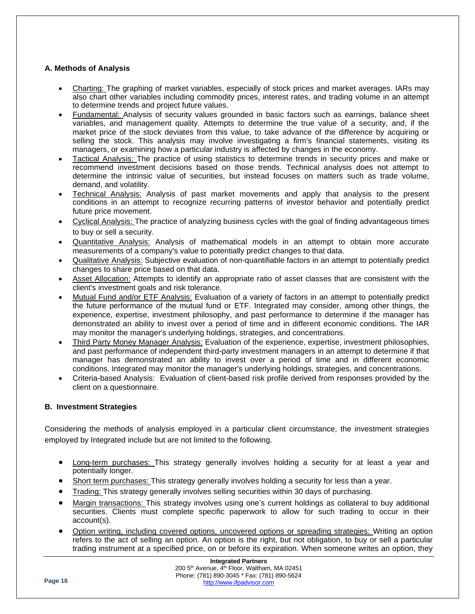### <span id="page-15-0"></span>**A. Methods of Analysis**

- Charting: The graphing of market variables, especially of stock prices and market averages. IARs may also chart other variables including commodity prices, interest rates, and trading volume in an attempt to determine trends and project future values.
- Fundamental: Analysis of security values grounded in basic factors such as earnings, balance sheet variables, and management quality. Attempts to determine the true value of a security, and, if the market price of the stock deviates from this value, to take advance of the difference by acquiring or selling the stock. This analysis may involve investigating a firm's financial statements, visiting its managers, or examining how a particular industry is affected by changes in the economy.
- Tactical Analysis: The practice of using statistics to determine trends in security prices and make or recommend investment decisions based on those trends. Technical analysis does not attempt to determine the intrinsic value of securities, but instead focuses on matters such as trade volume, demand, and volatility.
- Technical Analysis: Analysis of past market movements and apply that analysis to the present conditions in an attempt to recognize recurring patterns of investor behavior and potentially predict future price movement.
- Cyclical Analysis: The practice of analyzing business cycles with the goal of finding advantageous times to buy or sell a security.
- Quantitative Analysis: Analysis of mathematical models in an attempt to obtain more accurate measurements of a company's value to potentially predict changes to that data.
- Qualitative Analysis: Subjective evaluation of non-quantifiable factors in an attempt to potentially predict changes to share price based on that data.
- Asset Allocation: Attempts to identify an appropriate ratio of asset classes that are consistent with the client's investment goals and risk tolerance.
- Mutual Fund and/or ETF Analysis: Evaluation of a variety of factors in an attempt to potentially predict the future performance of the mutual fund or ETF. Integrated may consider, among other things, the experience, expertise, investment philosophy, and past performance to determine if the manager has demonstrated an ability to invest over a period of time and in different economic conditions. The IAR may monitor the manager's underlying holdings, strategies, and concentrations.
- Third Party Money Manager Analysis: Evaluation of the experience, expertise, investment philosophies, and past performance of independent third-party investment managers in an attempt to determine if that manager has demonstrated an ability to invest over a period of time and in different economic conditions. Integrated may monitor the manager's underlying holdings, strategies, and concentrations.
- Criteria-based Analysis: Evaluation of client-based risk profile derived from responses provided by the client on a questionnaire.

### <span id="page-15-1"></span>**B. Investment Strategies**

Considering the methods of analysis employed in a particular client circumstance, the investment strategies employed by Integrated include but are not limited to the following.

- Long-term purchases: This strategy generally involves holding a security for at least a year and potentially longer.
- Short term purchases: This strategy generally involves holding a security for less than a year.
- Trading: This strategy generally involves selling securities within 30 days of purchasing.
- Margin transactions: This strategy involves using one's current holdings as collateral to buy additional securities. Clients must complete specific paperwork to allow for such trading to occur in their account(s).
- Option writing, including covered options, uncovered options or spreading strategies: Writing an option refers to the act of selling an option. An option is the right, but not obligation, to buy or sell a particular trading instrument at a specified price, on or before its expiration. When someone writes an option, they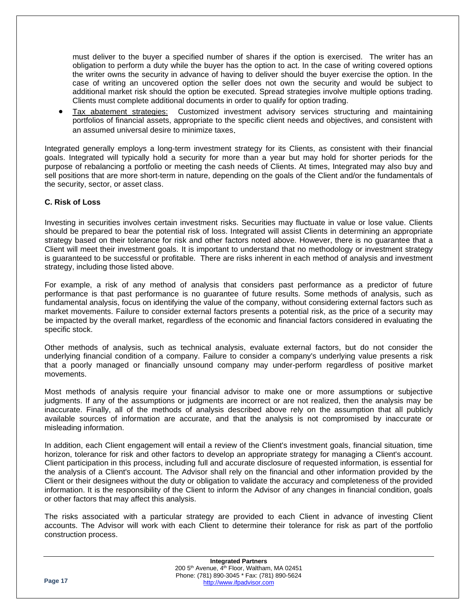must deliver to the buyer a specified number of shares if the option is exercised. The writer has an obligation to perform a duty while the buyer has the option to act. In the case of writing covered options the writer owns the security in advance of having to deliver should the buyer exercise the option. In the case of writing an uncovered option the seller does not own the security and would be subject to additional market risk should the option be executed. Spread strategies involve multiple options trading. Clients must complete additional documents in order to qualify for option trading.

• Tax abatement strategies: Customized investment advisory services structuring and maintaining portfolios of financial assets, appropriate to the specific client needs and objectives, and consistent with an assumed universal desire to minimize taxes.

Integrated generally employs a long-term investment strategy for its Clients, as consistent with their financial goals. Integrated will typically hold a security for more than a year but may hold for shorter periods for the purpose of rebalancing a portfolio or meeting the cash needs of Clients. At times, Integrated may also buy and sell positions that are more short-term in nature, depending on the goals of the Client and/or the fundamentals of the security, sector, or asset class.

### <span id="page-16-0"></span>**C. Risk of Loss**

Investing in securities involves certain investment risks. Securities may fluctuate in value or lose value. Clients should be prepared to bear the potential risk of loss. Integrated will assist Clients in determining an appropriate strategy based on their tolerance for risk and other factors noted above. However, there is no guarantee that a Client will meet their investment goals. It is important to understand that no methodology or investment strategy is guaranteed to be successful or profitable. There are risks inherent in each method of analysis and investment strategy, including those listed above.

For example, a risk of any method of analysis that considers past performance as a predictor of future performance is that past performance is no guarantee of future results. Some methods of analysis, such as fundamental analysis, focus on identifying the value of the company, without considering external factors such as market movements. Failure to consider external factors presents a potential risk, as the price of a security may be impacted by the overall market, regardless of the economic and financial factors considered in evaluating the specific stock.

Other methods of analysis, such as technical analysis, evaluate external factors, but do not consider the underlying financial condition of a company. Failure to consider a company's underlying value presents a risk that a poorly managed or financially unsound company may under-perform regardless of positive market movements.

Most methods of analysis require your financial advisor to make one or more assumptions or subjective judgments. If any of the assumptions or judgments are incorrect or are not realized, then the analysis may be inaccurate. Finally, all of the methods of analysis described above rely on the assumption that all publicly available sources of information are accurate, and that the analysis is not compromised by inaccurate or misleading information.

In addition, each Client engagement will entail a review of the Client's investment goals, financial situation, time horizon, tolerance for risk and other factors to develop an appropriate strategy for managing a Client's account. Client participation in this process, including full and accurate disclosure of requested information, is essential for the analysis of a Client's account. The Advisor shall rely on the financial and other information provided by the Client or their designees without the duty or obligation to validate the accuracy and completeness of the provided information. It is the responsibility of the Client to inform the Advisor of any changes in financial condition, goals or other factors that may affect this analysis.

The risks associated with a particular strategy are provided to each Client in advance of investing Client accounts. The Advisor will work with each Client to determine their tolerance for risk as part of the portfolio construction process.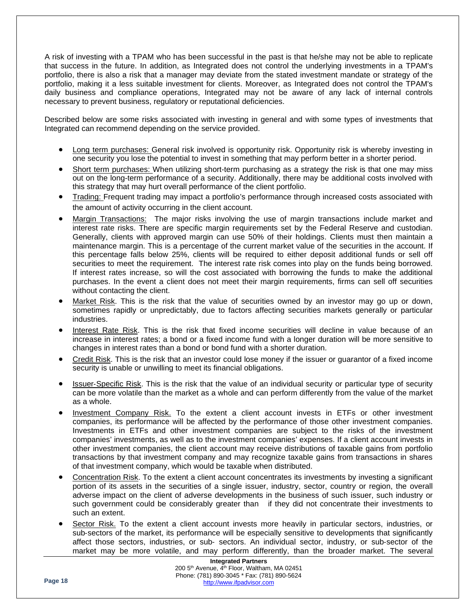A risk of investing with a TPAM who has been successful in the past is that he/she may not be able to replicate that success in the future. In addition, as Integrated does not control the underlying investments in a TPAM's portfolio, there is also a risk that a manager may deviate from the stated investment mandate or strategy of the portfolio, making it a less suitable investment for clients. Moreover, as Integrated does not control the TPAM's daily business and compliance operations, Integrated may not be aware of any lack of internal controls necessary to prevent business, regulatory or reputational deficiencies.

Described below are some risks associated with investing in general and with some types of investments that Integrated can recommend depending on the service provided.

- Long term purchases: General risk involved is opportunity risk. Opportunity risk is whereby investing in one security you lose the potential to invest in something that may perform better in a shorter period.
- Short term purchases: When utilizing short-term purchasing as a strategy the risk is that one may miss out on the long-term performance of a security. Additionally, there may be additional costs involved with this strategy that may hurt overall performance of the client portfolio.
- Trading: Frequent trading may impact a portfolio's performance through increased costs associated with the amount of activity occurring in the client account.
- Margin Transactions: The major risks involving the use of margin transactions include market and interest rate risks. There are specific margin requirements set by the Federal Reserve and custodian. Generally, clients with approved margin can use 50% of their holdings. Clients must then maintain a maintenance margin. This is a percentage of the current market value of the securities in the account. If this percentage falls below 25%, clients will be required to either deposit additional funds or sell off securities to meet the requirement. The interest rate risk comes into play on the funds being borrowed. If interest rates increase, so will the cost associated with borrowing the funds to make the additional purchases. In the event a client does not meet their margin requirements, firms can sell off securities without contacting the client.
- Market Risk. This is the risk that the value of securities owned by an investor may go up or down, sometimes rapidly or unpredictably, due to factors affecting securities markets generally or particular industries.
- Interest Rate Risk. This is the risk that fixed income securities will decline in value because of an increase in interest rates; a bond or a fixed income fund with a longer duration will be more sensitive to changes in interest rates than a bond or bond fund with a shorter duration.
- Credit Risk. This is the risk that an investor could lose money if the issuer or guarantor of a fixed income security is unable or unwilling to meet its financial obligations.
- Issuer‐Specific Risk. This is the risk that the value of an individual security or particular type of security can be more volatile than the market as a whole and can perform differently from the value of the market as a whole.
- Investment Company Risk. To the extent a client account invests in ETFs or other investment companies, its performance will be affected by the performance of those other investment companies. Investments in ETFs and other investment companies are subject to the risks of the investment companies' investments, as well as to the investment companies' expenses. If a client account invests in other investment companies, the client account may receive distributions of taxable gains from portfolio transactions by that investment company and may recognize taxable gains from transactions in shares of that investment company, which would be taxable when distributed.
- Concentration Risk. To the extent a client account concentrates its investments by investing a significant portion of its assets in the securities of a single issuer, industry, sector, country or region, the overall adverse impact on the client of adverse developments in the business of such issuer, such industry or such government could be considerably greater than if they did not concentrate their investments to such an extent.
- Sector Risk. To the extent a client account invests more heavily in particular sectors, industries, or sub-sectors of the market, its performance will be especially sensitive to developments that significantly affect those sectors, industries, or sub‐ sectors. An individual sector, industry, or sub‐sector of the market may be more volatile, and may perform differently, than the broader market. The several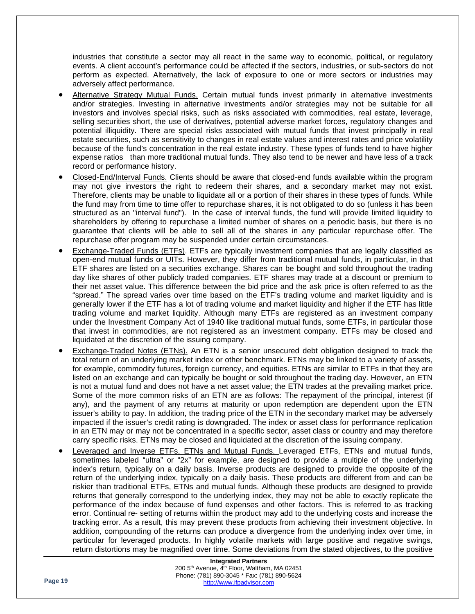industries that constitute a sector may all react in the same way to economic, political, or regulatory events. A client account's performance could be affected if the sectors, industries, or sub‐sectors do not perform as expected. Alternatively, the lack of exposure to one or more sectors or industries may adversely affect performance.

- Alternative Strategy Mutual Funds. Certain mutual funds invest primarily in alternative investments and/or strategies. Investing in alternative investments and/or strategies may not be suitable for all investors and involves special risks, such as risks associated with commodities, real estate, leverage, selling securities short, the use of derivatives, potential adverse market forces, regulatory changes and potential illiquidity. There are special risks associated with mutual funds that invest principally in real estate securities, such as sensitivity to changes in real estate values and interest rates and price volatility because of the fund's concentration in the real estate industry. These types of funds tend to have higher expense ratios than more traditional mutual funds. They also tend to be newer and have less of a track record or performance history.
- Closed-End/Interval Funds. Clients should be aware that closed-end funds available within the program may not give investors the right to redeem their shares, and a secondary market may not exist. Therefore, clients may be unable to liquidate all or a portion of their shares in these types of funds. While the fund may from time to time offer to repurchase shares, it is not obligated to do so (unless it has been structured as an "interval fund"). In the case of interval funds, the fund will provide limited liquidity to shareholders by offering to repurchase a limited number of shares on a periodic basis, but there is no guarantee that clients will be able to sell all of the shares in any particular repurchase offer. The repurchase offer program may be suspended under certain circumstances.
- Exchange-Traded Funds (ETFs). ETFs are typically investment companies that are legally classified as open-end mutual funds or UITs. However, they differ from traditional mutual funds, in particular, in that ETF shares are listed on a securities exchange. Shares can be bought and sold throughout the trading day like shares of other publicly traded companies. ETF shares may trade at a discount or premium to their net asset value. This difference between the bid price and the ask price is often referred to as the "spread." The spread varies over time based on the ETF's trading volume and market liquidity and is generally lower if the ETF has a lot of trading volume and market liquidity and higher if the ETF has little trading volume and market liquidity. Although many ETFs are registered as an investment company under the Investment Company Act of 1940 like traditional mutual funds, some ETFs, in particular those that invest in commodities, are not registered as an investment company. ETFs may be closed and liquidated at the discretion of the issuing company.
- Exchange-Traded Notes (ETNs). An ETN is a senior unsecured debt obligation designed to track the total return of an underlying market index or other benchmark. ETNs may be linked to a variety of assets, for example, commodity futures, foreign currency, and equities. ETNs are similar to ETFs in that they are listed on an exchange and can typically be bought or sold throughout the trading day. However, an ETN is not a mutual fund and does not have a net asset value; the ETN trades at the prevailing market price. Some of the more common risks of an ETN are as follows: The repayment of the principal, interest (if any), and the payment of any returns at maturity or upon redemption are dependent upon the ETN issuer's ability to pay. In addition, the trading price of the ETN in the secondary market may be adversely impacted if the issuer's credit rating is downgraded. The index or asset class for performance replication in an ETN may or may not be concentrated in a specific sector, asset class or country and may therefore carry specific risks. ETNs may be closed and liquidated at the discretion of the issuing company.
- Leveraged and Inverse ETFs, ETNs and Mutual Funds. Leveraged ETFs, ETNs and mutual funds, sometimes labeled "ultra" or "2x" for example, are designed to provide a multiple of the underlying index's return, typically on a daily basis. Inverse products are designed to provide the opposite of the return of the underlying index, typically on a daily basis. These products are different from and can be riskier than traditional ETFs, ETNs and mutual funds. Although these products are designed to provide returns that generally correspond to the underlying index, they may not be able to exactly replicate the performance of the index because of fund expenses and other factors. This is referred to as tracking error. Continual re- setting of returns within the product may add to the underlying costs and increase the tracking error. As a result, this may prevent these products from achieving their investment objective. In addition, compounding of the returns can produce a divergence from the underlying index over time, in particular for leveraged products. In highly volatile markets with large positive and negative swings, return distortions may be magnified over time. Some deviations from the stated objectives, to the positive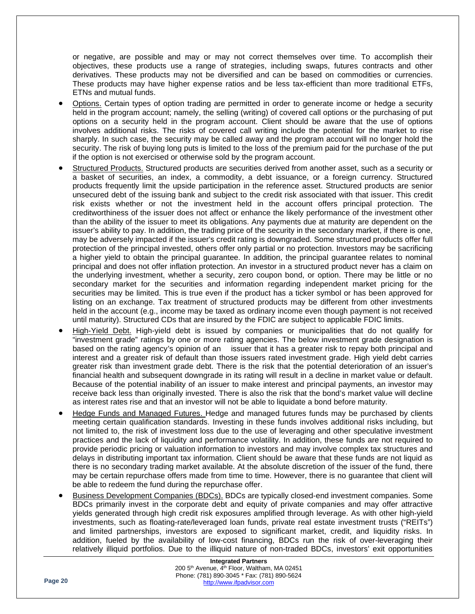or negative, are possible and may or may not correct themselves over time. To accomplish their objectives, these products use a range of strategies, including swaps, futures contracts and other derivatives. These products may not be diversified and can be based on commodities or currencies. These products may have higher expense ratios and be less tax-efficient than more traditional ETFs, ETNs and mutual funds.

- Options. Certain types of option trading are permitted in order to generate income or hedge a security held in the program account; namely, the selling (writing) of covered call options or the purchasing of put options on a security held in the program account. Client should be aware that the use of options involves additional risks. The risks of covered call writing include the potential for the market to rise sharply. In such case, the security may be called away and the program account will no longer hold the security. The risk of buying long puts is limited to the loss of the premium paid for the purchase of the put if the option is not exercised or otherwise sold by the program account.
- Structured Products. Structured products are securities derived from another asset, such as a security or a basket of securities, an index, a commodity, a debt issuance, or a foreign currency. Structured products frequently limit the upside participation in the reference asset. Structured products are senior unsecured debt of the issuing bank and subject to the credit risk associated with that issuer. This credit risk exists whether or not the investment held in the account offers principal protection. The creditworthiness of the issuer does not affect or enhance the likely performance of the investment other than the ability of the issuer to meet its obligations. Any payments due at maturity are dependent on the issuer's ability to pay. In addition, the trading price of the security in the secondary market, if there is one, may be adversely impacted if the issuer's credit rating is downgraded. Some structured products offer full protection of the principal invested, others offer only partial or no protection. Investors may be sacrificing a higher yield to obtain the principal guarantee. In addition, the principal guarantee relates to nominal principal and does not offer inflation protection. An investor in a structured product never has a claim on the underlying investment, whether a security, zero coupon bond, or option. There may be little or no secondary market for the securities and information regarding independent market pricing for the securities may be limited. This is true even if the product has a ticker symbol or has been approved for listing on an exchange. Tax treatment of structured products may be different from other investments held in the account (e.g., income may be taxed as ordinary income even though payment is not received until maturity). Structured CDs that are insured by the FDIC are subject to applicable FDIC limits.
- High-Yield Debt. High-yield debt is issued by companies or municipalities that do not qualify for "investment grade" ratings by one or more rating agencies. The below investment grade designation is based on the rating agency's opinion of an issuer that it has a greater risk to repay both principal and interest and a greater risk of default than those issuers rated investment grade. High yield debt carries greater risk than investment grade debt. There is the risk that the potential deterioration of an issuer's financial health and subsequent downgrade in its rating will result in a decline in market value or default. Because of the potential inability of an issuer to make interest and principal payments, an investor may receive back less than originally invested. There is also the risk that the bond's market value will decline as interest rates rise and that an investor will not be able to liquidate a bond before maturity.
- Hedge Funds and Managed Futures. Hedge and managed futures funds may be purchased by clients meeting certain qualification standards. Investing in these funds involves additional risks including, but not limited to, the risk of investment loss due to the use of leveraging and other speculative investment practices and the lack of liquidity and performance volatility. In addition, these funds are not required to provide periodic pricing or valuation information to investors and may involve complex tax structures and delays in distributing important tax information. Client should be aware that these funds are not liquid as there is no secondary trading market available. At the absolute discretion of the issuer of the fund, there may be certain repurchase offers made from time to time. However, there is no guarantee that client will be able to redeem the fund during the repurchase offer.
- Business Development Companies (BDCs). BDCs are typically closed-end investment companies. Some BDCs primarily invest in the corporate debt and equity of private companies and may offer attractive yields generated through high credit risk exposures amplified through leverage. As with other high-yield investments, such as floating-rate/leveraged loan funds, private real estate investment trusts ("REITs") and limited partnerships, investors are exposed to significant market, credit, and liquidity risks. In addition, fueled by the availability of low-cost financing, BDCs run the risk of over-leveraging their relatively illiquid portfolios. Due to the illiquid nature of non-traded BDCs, investors' exit opportunities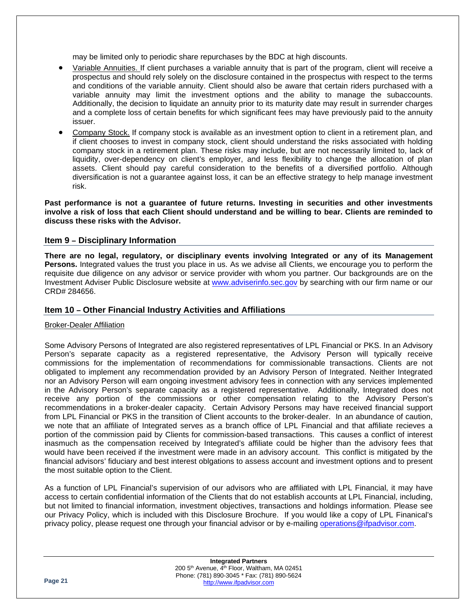may be limited only to periodic share repurchases by the BDC at high discounts.

- Variable Annuities. If client purchases a variable annuity that is part of the program, client will receive a prospectus and should rely solely on the disclosure contained in the prospectus with respect to the terms and conditions of the variable annuity. Client should also be aware that certain riders purchased with a variable annuity may limit the investment options and the ability to manage the subaccounts. Additionally, the decision to liquidate an annuity prior to its maturity date may result in surrender charges and a complete loss of certain benefits for which significant fees may have previously paid to the annuity issuer.
- Company Stock. If company stock is available as an investment option to client in a retirement plan, and if client chooses to invest in company stock, client should understand the risks associated with holding company stock in a retirement plan. These risks may include, but are not necessarily limited to, lack of liquidity, over-dependency on client's employer, and less flexibility to change the allocation of plan assets. Client should pay careful consideration to the benefits of a diversified portfolio. Although diversification is not a guarantee against loss, it can be an effective strategy to help manage investment risk.

**Past performance is not a guarantee of future returns. Investing in securities and other investments involve a risk of loss that each Client should understand and be willing to bear. Clients are reminded to discuss these risks with the Advisor.** 

### <span id="page-20-0"></span>**Item 9 – Disciplinary Information**

**There are no legal, regulatory, or disciplinary events involving Integrated or any of its Management Persons.** Integrated values the trust you place in us. As we advise all Clients, we encourage you to perform the requisite due diligence on any advisor or service provider with whom you partner. Our backgrounds are on the Investment Adviser Public Disclosure website at [www.adviserinfo.sec.gov](http://www.adviserinfo.sec.gov/) by searching with our firm name or our CRD# 284656.

### <span id="page-20-1"></span>**Item 10 – Other Financial Industry Activities and Affiliations**

### Broker-Dealer Affiliation

Some Advisory Persons of Integrated are also registered representatives of LPL Financial or PKS. In an Advisory Person's separate capacity as a registered representative, the Advisory Person will typically receive commissions for the implementation of recommendations for commissionable transactions. Clients are not obligated to implement any recommendation provided by an Advisory Person of Integrated. Neither Integrated nor an Advisory Person will earn ongoing investment advisory fees in connection with any services implemented in the Advisory Person's separate capacity as a registered representative. Additionally, Integrated does not receive any portion of the commissions or other compensation relating to the Advisory Person's recommendations in a broker-dealer capacity. Certain Advisory Persons may have received financial support from LPL Financial or PKS in the transition of Client accounts to the broker-dealer. In an abundance of caution, we note that an affiliate of Integrated serves as a branch office of LPL Financial and that affiliate recieves a portion of the commission paid by Clients for commission-based transactions. This causes a conflict of interest inasmuch as the compensation received by Integrated's affiliate could be higher than the advisory fees that would have been received if the investment were made in an advisory account. This conflict is mitigated by the financial advisors' fiduciary and best interest oblgations to assess account and investment options and to present the most suitable option to the Client.

As a function of LPL Financial's supervision of our advisors who are affiliated with LPL Financial, it may have access to certain confidential information of the Clients that do not establish accounts at LPL Financial, including, but not limited to financial information, investment objectives, transactions and holdings information. Please see our Privacy Policy, which is included with this Disclosure Brochure. If you would like a copy of LPL Finanical's privacy policy, please request one through your financial advisor or by e-mailing [operations@ifpadvisor.com.](mailto:operations@ifpadvisor.com)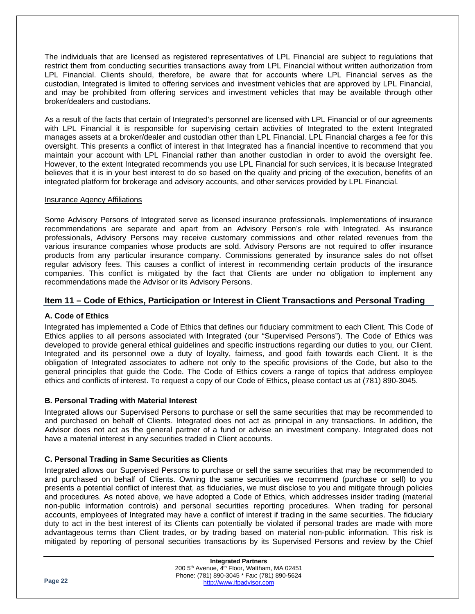The individuals that are licensed as registered representatives of LPL Financial are subject to regulations that restrict them from conducting securities transactions away from LPL Financial without written authorization from LPL Financial. Clients should, therefore, be aware that for accounts where LPL Financial serves as the custodian, Integrated is limited to offering services and investment vehicles that are approved by LPL Financial, and may be prohibited from offering services and investment vehicles that may be available through other broker/dealers and custodians.

As a result of the facts that certain of Integrated's personnel are licensed with LPL Financial or of our agreements with LPL Financial it is responsible for supervising certain activities of Integrated to the extent Integrated manages assets at a broker/dealer and custodian other than LPL Financial. LPL Financial charges a fee for this oversight. This presents a conflict of interest in that Integrated has a financial incentive to recommend that you maintain your account with LPL Financial rather than another custodian in order to avoid the oversight fee. However, to the extent Integrated recommends you use LPL Financial for such services, it is because Integrated believes that it is in your best interest to do so based on the quality and pricing of the execution, benefits of an integrated platform for brokerage and advisory accounts, and other services provided by LPL Financial.

### Insurance Agency Affiliations

Some Advisory Persons of Integrated serve as licensed insurance professionals. Implementations of insurance recommendations are separate and apart from an Advisory Person's role with Integrated. As insurance professionals, Advisory Persons may receive customary commissions and other related revenues from the various insurance companies whose products are sold. Advisory Persons are not required to offer insurance products from any particular insurance company. Commissions generated by insurance sales do not offset regular advisory fees. This causes a conflict of interest in recommending certain products of the insurance companies. This conflict is mitigated by the fact that Clients are under no obligation to implement any recommendations made the Advisor or its Advisory Persons.

### <span id="page-21-0"></span>**Item 11 – Code of Ethics, Participation or Interest in Client Transactions and Personal Trading**

### <span id="page-21-1"></span>**A. Code of Ethics**

Integrated has implemented a Code of Ethics that defines our fiduciary commitment to each Client. This Code of Ethics applies to all persons associated with Integrated (our "Supervised Persons"). The Code of Ethics was developed to provide general ethical guidelines and specific instructions regarding our duties to you, our Client. Integrated and its personnel owe a duty of loyalty, fairness, and good faith towards each Client. It is the obligation of Integrated associates to adhere not only to the specific provisions of the Code, but also to the general principles that guide the Code. The Code of Ethics covers a range of topics that address employee ethics and conflicts of interest. To request a copy of our Code of Ethics, please contact us at (781) 890-3045.

### <span id="page-21-2"></span>**B. Personal Trading with Material Interest**

Integrated allows our Supervised Persons to purchase or sell the same securities that may be recommended to and purchased on behalf of Clients. Integrated does not act as principal in any transactions. In addition, the Advisor does not act as the general partner of a fund or advise an investment company. Integrated does not have a material interest in any securities traded in Client accounts.

### <span id="page-21-3"></span>**C. Personal Trading in Same Securities as Clients**

Integrated allows our Supervised Persons to purchase or sell the same securities that may be recommended to and purchased on behalf of Clients. Owning the same securities we recommend (purchase or sell) to you presents a potential conflict of interest that, as fiduciaries, we must disclose to you and mitigate through policies and procedures. As noted above, we have adopted a Code of Ethics, which addresses insider trading (material non-public information controls) and personal securities reporting procedures. When trading for personal accounts, employees of Integrated may have a conflict of interest if trading in the same securities. The fiduciary duty to act in the best interest of its Clients can potentially be violated if personal trades are made with more advantageous terms than Client trades, or by trading based on material non-public information. This risk is mitigated by reporting of personal securities transactions by its Supervised Persons and review by the Chief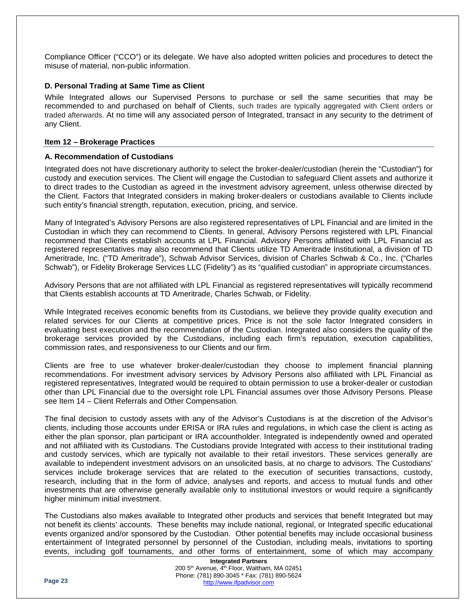Compliance Officer ("CCO") or its delegate. We have also adopted written policies and procedures to detect the misuse of material, non-public information.

### <span id="page-22-0"></span>**D. Personal Trading at Same Time as Client**

While Integrated allows our Supervised Persons to purchase or sell the same securities that may be recommended to and purchased on behalf of Clients, such trades are typically aggregated with Client orders or traded afterwards. At no time will any associated person of Integrated, transact in any security to the detriment of any Client.

### <span id="page-22-1"></span>**Item 12 – Brokerage Practices**

### <span id="page-22-2"></span>**A. Recommendation of Custodians**

Integrated does not have discretionary authority to select the broker-dealer/custodian (herein the "Custodian") for custody and execution services. The Client will engage the Custodian to safeguard Client assets and authorize it to direct trades to the Custodian as agreed in the investment advisory agreement, unless otherwise directed by the Client. Factors that Integrated considers in making broker-dealers or custodians available to Clients include such entity's financial strength, reputation, execution, pricing, and service.

Many of Integrated's Advisory Persons are also registered representatives of LPL Financial and are limited in the Custodian in which they can recommend to Clients. In general, Advisory Persons registered with LPL Financial recommend that Clients establish accounts at LPL Financial. Advisory Persons affiliated with LPL Financial as registered representatives may also recommend that Clients utilize TD Ameritrade Institutional, a division of TD Ameritrade, Inc. ("TD Ameritrade"), Schwab Advisor Services, division of Charles Schwab & Co., Inc. ("Charles Schwab"), or Fidelity Brokerage Services LLC (Fidelity") as its "qualified custodian" in appropriate circumstances.

Advisory Persons that are not affiliated with LPL Financial as registered representatives will typically recommend that Clients establish accounts at TD Ameritrade, Charles Schwab, or Fidelity.

While Integrated receives economic benefits from its Custodians, we believe they provide quality execution and related services for our Clients at competitive prices. Price is not the sole factor Integrated considers in evaluating best execution and the recommendation of the Custodian. Integrated also considers the quality of the brokerage services provided by the Custodians, including each firm's reputation, execution capabilities, commission rates, and responsiveness to our Clients and our firm.

Clients are free to use whatever broker-dealer/custodian they choose to implement financial planning recommendations. For investment advisory services by Advisory Persons also affiliated with LPL Financial as registered representatives, Integrated would be required to obtain permission to use a broker-dealer or custodian other than LPL Financial due to the oversight role LPL Financial assumes over those Advisory Persons. Please see Item 14 – Client Referrals and Other Compensation.

The final decision to custody assets with any of the Advisor's Custodians is at the discretion of the Advisor's clients, including those accounts under ERISA or IRA rules and regulations, in which case the client is acting as either the plan sponsor, plan participant or IRA accountholder. Integrated is independently owned and operated and not affiliated with its Custodians. The Custodians provide Integrated with access to their institutional trading and custody services, which are typically not available to their retail investors. These services generally are available to independent investment advisors on an unsolicited basis, at no charge to advisors. The Custodians' services include brokerage services that are related to the execution of securities transactions, custody, research, including that in the form of advice, analyses and reports, and access to mutual funds and other investments that are otherwise generally available only to institutional investors or would require a significantly higher minimum initial investment.

The Custodians also makes available to Integrated other products and services that benefit Integrated but may not benefit its clients' accounts. These benefits may include national, regional, or Integrated specific educational events organized and/or sponsored by the Custodian. Other potential benefits may include occasional business entertainment of Integrated personnel by personnel of the Custodian, including meals, invitations to sporting events, including golf tournaments, and other forms of entertainment, some of which may accompany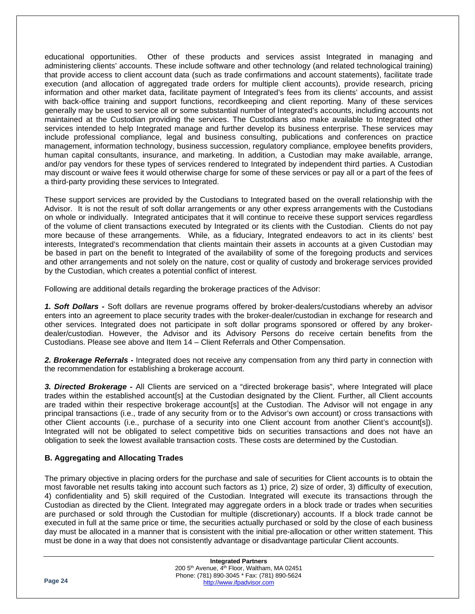educational opportunities. Other of these products and services assist Integrated in managing and administering clients' accounts. These include software and other technology (and related technological training) that provide access to client account data (such as trade confirmations and account statements), facilitate trade execution (and allocation of aggregated trade orders for multiple client accounts), provide research, pricing information and other market data, facilitate payment of Integrated's fees from its clients' accounts, and assist with back-office training and support functions, recordkeeping and client reporting. Many of these services generally may be used to service all or some substantial number of Integrated's accounts, including accounts not maintained at the Custodian providing the services. The Custodians also make available to Integrated other services intended to help Integrated manage and further develop its business enterprise. These services may include professional compliance, legal and business consulting, publications and conferences on practice management, information technology, business succession, regulatory compliance, employee benefits providers, human capital consultants, insurance, and marketing. In addition, a Custodian may make available, arrange, and/or pay vendors for these types of services rendered to Integrated by independent third parties. A Custodian may discount or waive fees it would otherwise charge for some of these services or pay all or a part of the fees of a third-party providing these services to Integrated.

These support services are provided by the Custodians to Integrated based on the overall relationship with the Advisor. It is not the result of soft dollar arrangements or any other express arrangements with the Custodians on whole or individually. Integrated anticipates that it will continue to receive these support services regardless of the volume of client transactions executed by Integrated or its clients with the Custodian. Clients do not pay more because of these arrangements. While, as a fiduciary, Integrated endeavors to act in its clients' best interests, Integrated's recommendation that clients maintain their assets in accounts at a given Custodian may be based in part on the benefit to Integrated of the availability of some of the foregoing products and services and other arrangements and not solely on the nature, cost or quality of custody and brokerage services provided by the Custodian, which creates a potential conflict of interest.

Following are additional details regarding the brokerage practices of the Advisor:

*1. Soft Dollars -* Soft dollars are revenue programs offered by broker-dealers/custodians whereby an advisor enters into an agreement to place security trades with the broker-dealer/custodian in exchange for research and other services. Integrated does not participate in soft dollar programs sponsored or offered by any brokerdealer/custodian. However, the Advisor and its Advisory Persons do receive certain benefits from the Custodians. Please see above and Item 14 – Client Referrals and Other Compensation.

*2. Brokerage Referrals -* Integrated does not receive any compensation from any third party in connection with the recommendation for establishing a brokerage account.

*3. Directed Brokerage -* All Clients are serviced on a "directed brokerage basis", where Integrated will place trades within the established account[s] at the Custodian designated by the Client. Further, all Client accounts are traded within their respective brokerage account[s] at the Custodian. The Advisor will not engage in any principal transactions (i.e., trade of any security from or to the Advisor's own account) or cross transactions with other Client accounts (i.e., purchase of a security into one Client account from another Client's account[s]). Integrated will not be obligated to select competitive bids on securities transactions and does not have an obligation to seek the lowest available transaction costs. These costs are determined by the Custodian.

### <span id="page-23-0"></span>**B. Aggregating and Allocating Trades**

The primary objective in placing orders for the purchase and sale of securities for Client accounts is to obtain the most favorable net results taking into account such factors as 1) price, 2) size of order, 3) difficulty of execution, 4) confidentiality and 5) skill required of the Custodian. Integrated will execute its transactions through the Custodian as directed by the Client. Integrated may aggregate orders in a block trade or trades when securities are purchased or sold through the Custodian for multiple (discretionary) accounts. If a block trade cannot be executed in full at the same price or time, the securities actually purchased or sold by the close of each business day must be allocated in a manner that is consistent with the initial pre-allocation or other written statement. This must be done in a way that does not consistently advantage or disadvantage particular Client accounts.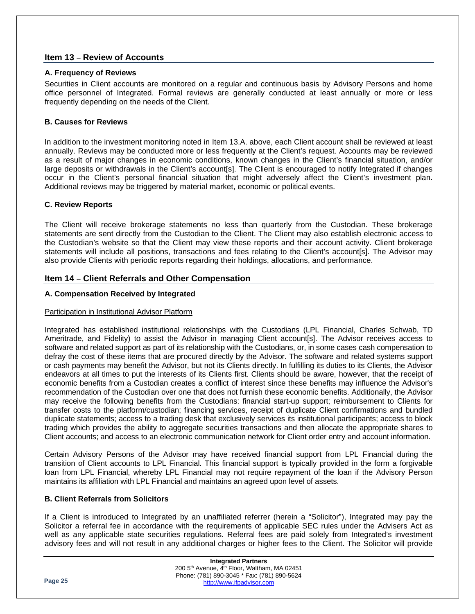### <span id="page-24-0"></span>**Item 13 – Review of Accounts**

### <span id="page-24-1"></span>**A. Frequency of Reviews**

Securities in Client accounts are monitored on a regular and continuous basis by Advisory Persons and home office personnel of Integrated. Formal reviews are generally conducted at least annually or more or less frequently depending on the needs of the Client.

### <span id="page-24-2"></span>**B. Causes for Reviews**

In addition to the investment monitoring noted in Item 13.A. above, each Client account shall be reviewed at least annually. Reviews may be conducted more or less frequently at the Client's request. Accounts may be reviewed as a result of major changes in economic conditions, known changes in the Client's financial situation, and/or large deposits or withdrawals in the Client's account[s]. The Client is encouraged to notify Integrated if changes occur in the Client's personal financial situation that might adversely affect the Client's investment plan. Additional reviews may be triggered by material market, economic or political events.

### <span id="page-24-3"></span>**C. Review Reports**

The Client will receive brokerage statements no less than quarterly from the Custodian. These brokerage statements are sent directly from the Custodian to the Client. The Client may also establish electronic access to the Custodian's website so that the Client may view these reports and their account activity. Client brokerage statements will include all positions, transactions and fees relating to the Client's account[s]. The Advisor may also provide Clients with periodic reports regarding their holdings, allocations, and performance.

### <span id="page-24-4"></span>**Item 14 – Client Referrals and Other Compensation**

### <span id="page-24-5"></span>**A. Compensation Received by Integrated**

### Participation in Institutional Advisor Platform

Integrated has established institutional relationships with the Custodians (LPL Financial, Charles Schwab, TD Ameritrade, and Fidelity) to assist the Advisor in managing Client account[s]. The Advisor receives access to software and related support as part of its relationship with the Custodians, or, in some cases cash compensation to defray the cost of these items that are procured directly by the Advisor. The software and related systems support or cash payments may benefit the Advisor, but not its Clients directly. In fulfilling its duties to its Clients, the Advisor endeavors at all times to put the interests of its Clients first. Clients should be aware, however, that the receipt of economic benefits from a Custodian creates a conflict of interest since these benefits may influence the Advisor's recommendation of the Custodian over one that does not furnish these economic benefits. Additionally, the Advisor may receive the following benefits from the Custodians: financial start-up support; reimbursement to Clients for transfer costs to the platform/custodian; financing services, receipt of duplicate Client confirmations and bundled duplicate statements; access to a trading desk that exclusively services its institutional participants; access to block trading which provides the ability to aggregate securities transactions and then allocate the appropriate shares to Client accounts; and access to an electronic communication network for Client order entry and account information.

Certain Advisory Persons of the Advisor may have received financial support from LPL Financial during the transition of Client accounts to LPL Financial. This financial support is typically provided in the form a forgivable loan from LPL Financial, whereby LPL Financial may not require repayment of the loan if the Advisory Person maintains its affiliation with LPL Financial and maintains an agreed upon level of assets.

### <span id="page-24-6"></span>**B. Client Referrals from Solicitors**

If a Client is introduced to Integrated by an unaffiliated referrer (herein a "Solicitor"), Integrated may pay the Solicitor a referral fee in accordance with the requirements of applicable SEC rules under the Advisers Act as well as any applicable state securities regulations. Referral fees are paid solely from Integrated's investment advisory fees and will not result in any additional charges or higher fees to the Client. The Solicitor will provide

|         | <b>Integrated Partners</b>                                           |  |
|---------|----------------------------------------------------------------------|--|
|         | 200 5 <sup>th</sup> Avenue, 4 <sup>th</sup> Floor, Waltham, MA 02451 |  |
|         | Phone: (781) 890-3045 * Fax: (781) 890-5624                          |  |
| Page 25 | http://www.ifpadvisor.com                                            |  |
|         |                                                                      |  |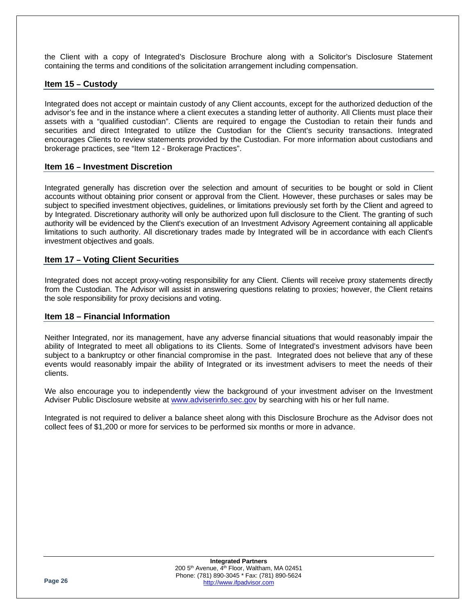the Client with a copy of Integrated's Disclosure Brochure along with a Solicitor's Disclosure Statement containing the terms and conditions of the solicitation arrangement including compensation.

### <span id="page-25-0"></span>**Item 15 – Custody**

Integrated does not accept or maintain custody of any Client accounts, except for the authorized deduction of the advisor's fee and in the instance where a client executes a standing letter of authority. All Clients must place their assets with a "qualified custodian". Clients are required to engage the Custodian to retain their funds and securities and direct Integrated to utilize the Custodian for the Client's security transactions. Integrated encourages Clients to review statements provided by the Custodian. For more information about custodians and brokerage practices, see "Item 12 - Brokerage Practices".

### <span id="page-25-1"></span>**Item 16 – Investment Discretion**

Integrated generally has discretion over the selection and amount of securities to be bought or sold in Client accounts without obtaining prior consent or approval from the Client. However, these purchases or sales may be subject to specified investment objectives, guidelines, or limitations previously set forth by the Client and agreed to by Integrated. Discretionary authority will only be authorized upon full disclosure to the Client. The granting of such authority will be evidenced by the Client's execution of an Investment Advisory Agreement containing all applicable limitations to such authority. All discretionary trades made by Integrated will be in accordance with each Client's investment objectives and goals.

### <span id="page-25-2"></span>**Item 17 – Voting Client Securities**

Integrated does not accept proxy-voting responsibility for any Client. Clients will receive proxy statements directly from the Custodian. The Advisor will assist in answering questions relating to proxies; however, the Client retains the sole responsibility for proxy decisions and voting.

### <span id="page-25-3"></span>**Item 18 – Financial Information**

Neither Integrated, nor its management, have any adverse financial situations that would reasonably impair the ability of Integrated to meet all obligations to its Clients. Some of Integrated's investment advisors have been subject to a bankruptcy or other financial compromise in the past. Integrated does not believe that any of these events would reasonably impair the ability of Integrated or its investment advisers to meet the needs of their clients.

We also encourage you to independently view the background of your investment adviser on the Investment Adviser Public Disclosure website at [www.adviserinfo.sec.gov](http://www.adviserinfo.sec.gov/) by searching with his or her full name.

Integrated is not required to deliver a balance sheet along with this Disclosure Brochure as the Advisor does not collect fees of \$1,200 or more for services to be performed six months or more in advance.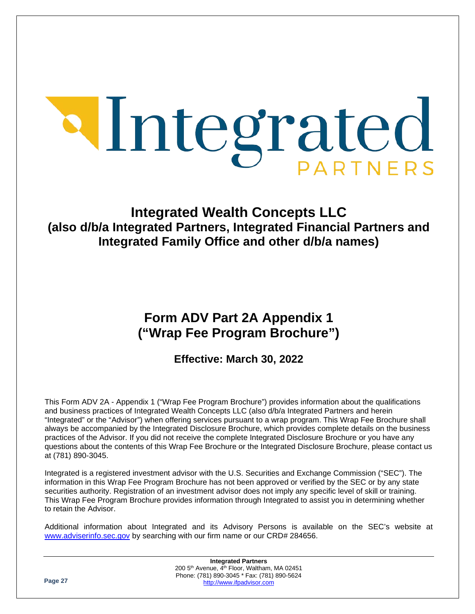# Integrated

# **Integrated Wealth Concepts LLC (also d/b/a Integrated Partners, Integrated Financial Partners and Integrated Family Office and other d/b/a names)**

# **Form ADV Part 2A Appendix 1 ("Wrap Fee Program Brochure")**

# **Effective: March 30, 2022**

This Form ADV 2A - Appendix 1 ("Wrap Fee Program Brochure") provides information about the qualifications and business practices of Integrated Wealth Concepts LLC (also d/b/a Integrated Partners and herein "Integrated" or the "Advisor") when offering services pursuant to a wrap program. This Wrap Fee Brochure shall always be accompanied by the Integrated Disclosure Brochure, which provides complete details on the business practices of the Advisor. If you did not receive the complete Integrated Disclosure Brochure or you have any questions about the contents of this Wrap Fee Brochure or the Integrated Disclosure Brochure, please contact us at (781) 890-3045.

Integrated is a registered investment advisor with the U.S. Securities and Exchange Commission ("SEC"). The information in this Wrap Fee Program Brochure has not been approved or verified by the SEC or by any state securities authority. Registration of an investment advisor does not imply any specific level of skill or training. This Wrap Fee Program Brochure provides information through Integrated to assist you in determining whether to retain the Advisor.

Additional information about Integrated and its Advisory Persons is available on the SEC's website at [www.adviserinfo.sec.gov](http://www.adviserinfo.sec.gov/) by searching with our firm name or our CRD# 284656.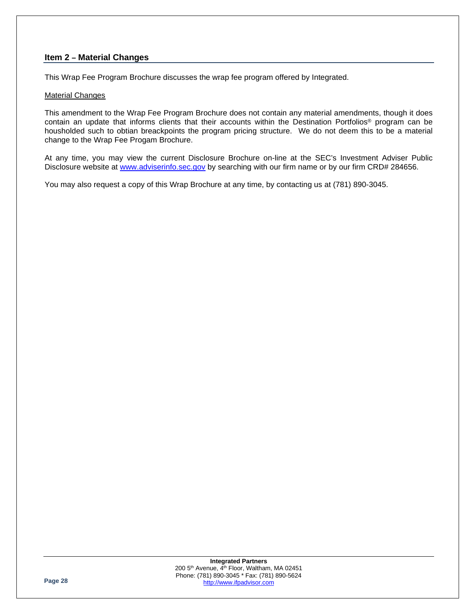### **Item 2 – Material Changes**

This Wrap Fee Program Brochure discusses the wrap fee program offered by Integrated.

### Material Changes

This amendment to the Wrap Fee Program Brochure does not contain any material amendments, though it does contain an update that informs clients that their accounts within the Destination Portfolios® program can be housholded such to obtian breackpoints the program pricing structure. We do not deem this to be a material change to the Wrap Fee Progam Brochure.

At any time, you may view the current Disclosure Brochure on-line at the SEC's Investment Adviser Public Disclosure website at [www.adviserinfo.sec.gov](http://www.adviserinfo.sec.gov/) by searching with our firm name or by our firm CRD# 284656.

You may also request a copy of this Wrap Brochure at any time, by contacting us at (781) 890-3045.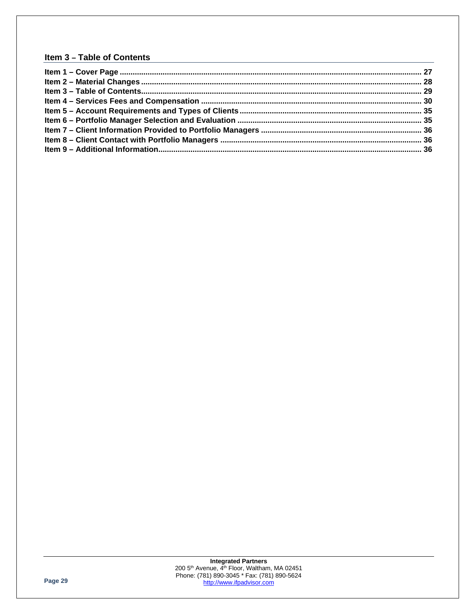## **Item 3 – Table of Contents**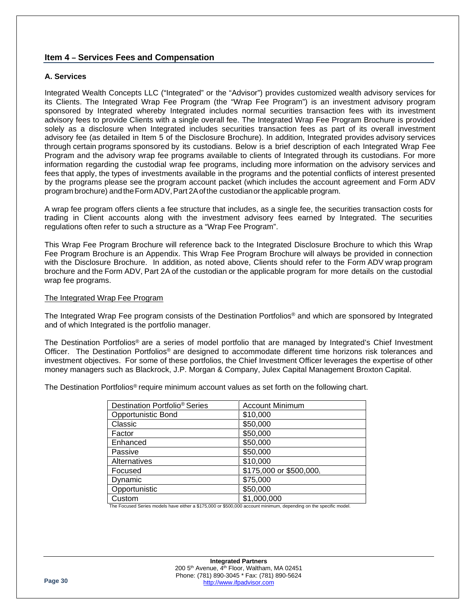### **Item 4 – Services Fees and Compensation**

### **A. Services**

Integrated Wealth Concepts LLC ("Integrated" or the "Advisor") provides customized wealth advisory services for its Clients. The Integrated Wrap Fee Program (the "Wrap Fee Program") is an investment advisory program sponsored by Integrated whereby Integrated includes normal securities transaction fees with its investment advisory fees to provide Clients with a single overall fee. The Integrated Wrap Fee Program Brochure is provided solely as a disclosure when Integrated includes securities transaction fees as part of its overall investment advisory fee (as detailed in Item 5 of the Disclosure Brochure). In addition, Integrated provides advisory services through certain programs sponsored by its custodians. Below is a brief description of each Integrated Wrap Fee Program and the advisory wrap fee programs available to clients of Integrated through its custodians. For more information regarding the custodial wrap fee programs, including more information on the advisory services and fees that apply, the types of investments available in the programs and the potential conflicts of interest presented by the programs please see the program account packet (which includes the account agreement and Form ADV program brochure) andtheForm ADV,Part 2Aofthe custodianorthe applicable program.

A wrap fee program offers clients a fee structure that includes, as a single fee, the securities transaction costs for trading in Client accounts along with the investment advisory fees earned by Integrated. The securities regulations often refer to such a structure as a "Wrap Fee Program".

This Wrap Fee Program Brochure will reference back to the Integrated Disclosure Brochure to which this Wrap Fee Program Brochure is an Appendix. This Wrap Fee Program Brochure will always be provided in connection with the Disclosure Brochure. In addition, as noted above, Clients should refer to the Form ADV wrap program brochure and the Form ADV, Part 2A of the custodian or the applicable program for more details on the custodial wrap fee programs.

### The Integrated Wrap Fee Program

The Integrated Wrap Fee program consists of the Destination Portfolios® and which are sponsored by Integrated and of which Integrated is the portfolio manager.

The Destination Portfolios® are a series of model portfolio that are managed by Integrated's Chief Investment Officer. The Destination Portfolios® are designed to accommodate different time horizons risk tolerances and investment objectives. For some of these portfolios, the Chief Investment Officer leverages the expertise of other money managers such as Blackrock, J.P. Morgan & Company, Julex Capital Management Broxton Capital.

The Destination Portfolios® require minimum account values as set forth on the following chart.

| <b>Account Minimum</b>  |
|-------------------------|
| \$10,000                |
| \$50,000                |
| \$50,000                |
| \$50,000                |
| \$50,000                |
| \$10,000                |
| \$175,000 or \$500,000. |
| \$75,000                |
| \$50,000                |
| \$1,000,000             |
|                         |

The Focused Series models have either a \$175,000 or \$500,000 account minimum, depending on the specific model.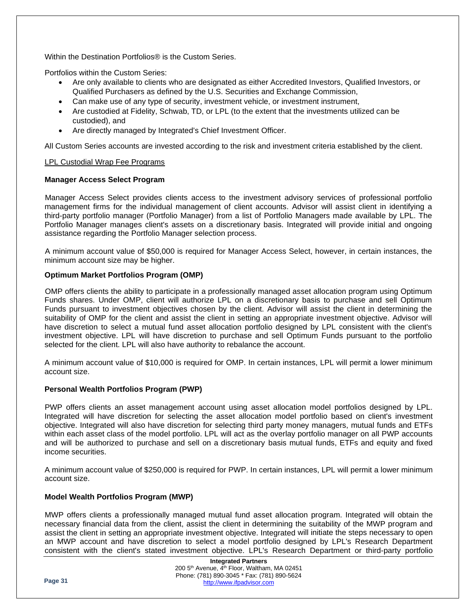Within the Destination Portfolios® is the Custom Series.

Portfolios within the Custom Series:

- Are only available to clients who are designated as either Accredited Investors, Qualified Investors, or Qualified Purchasers as defined by the U.S. Securities and Exchange Commission,
- Can make use of any type of security, investment vehicle, or investment instrument,
- Are custodied at Fidelity, Schwab, TD, or LPL (to the extent that the investments utilized can be custodied), and
- Are directly managed by Integrated's Chief Investment Officer.

All Custom Series accounts are invested according to the risk and investment criteria established by the client.

### LPL Custodial Wrap Fee Programs

### **Manager Access Select Program**

Manager Access Select provides clients access to the investment advisory services of professional portfolio management firms for the individual management of client accounts. Advisor will assist client in identifying a third-party portfolio manager (Portfolio Manager) from a list of Portfolio Managers made available by LPL. The Portfolio Manager manages client's assets on a discretionary basis. Integrated will provide initial and ongoing assistance regarding the Portfolio Manager selection process.

A minimum account value of \$50,000 is required for Manager Access Select, however, in certain instances, the minimum account size may be higher.

### **Optimum Market Portfolios Program (OMP)**

OMP offers clients the ability to participate in a professionally managed asset allocation program using Optimum Funds shares. Under OMP, client will authorize LPL on a discretionary basis to purchase and sell Optimum Funds pursuant to investment objectives chosen by the client. Advisor will assist the client in determining the suitability of OMP for the client and assist the client in setting an appropriate investment objective. Advisor will have discretion to select a mutual fund asset allocation portfolio designed by LPL consistent with the client's investment objective. LPL will have discretion to purchase and sell Optimum Funds pursuant to the portfolio selected for the client. LPL will also have authority to rebalance the account.

A minimum account value of \$10,000 is required for OMP. In certain instances, LPL will permit a lower minimum account size.

### **Personal Wealth Portfolios Program (PWP)**

PWP offers clients an asset management account using asset allocation model portfolios designed by LPL. Integrated will have discretion for selecting the asset allocation model portfolio based on client's investment objective. Integrated will also have discretion for selecting third party money managers, mutual funds and ETFs within each asset class of the model portfolio. LPL will act as the overlay portfolio manager on all PWP accounts and will be authorized to purchase and sell on a discretionary basis mutual funds, ETFs and equity and fixed income securities.

A minimum account value of \$250,000 is required for PWP. In certain instances, LPL will permit a lower minimum account size.

### **Model Wealth Portfolios Program (MWP)**

MWP offers clients a professionally managed mutual fund asset allocation program. Integrated will obtain the necessary financial data from the client, assist the client in determining the suitability of the MWP program and assist the client in setting an appropriate investment objective. Integrated will initiate the steps necessary to open an MWP account and have discretion to select a model portfolio designed by LPL's Research Department consistent with the client's stated investment objective. LPL's Research Department or third-party portfolio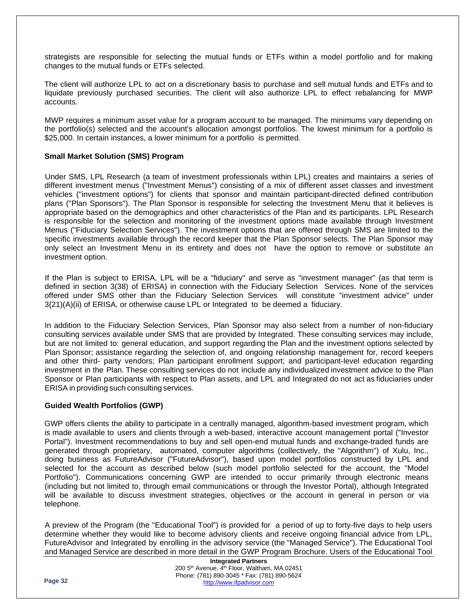strategists are responsible for selecting the mutual funds or ETFs within a model portfolio and for making changes to the mutual funds or ETFs selected.

The client will authorize LPL to act on a discretionary basis to purchase and sell mutual funds and ETFs and to liquidate previously purchased securities. The client will also authorize LPL to effect rebalancing for MWP accounts.

MWP requires a minimum asset value for a program account to be managed. The minimums vary depending on the portfolio(s) selected and the account's allocation amongst portfolios. The lowest minimum for a portfolio is \$25,000. In certain instances, a lower minimum for a portfolio is permitted.

### **Small Market Solution (SMS) Program**

Under SMS, LPL Research (a team of investment professionals within LPL) creates and maintains a series of different investment menus ("Investment Menus") consisting of a mix of different asset classes and investment vehicles ("investment options") for clients that sponsor and maintain participant-directed defined contribution plans ("Plan Sponsors"). The Plan Sponsor is responsible for selecting the Investment Menu that it believes is appropriate based on the demographics and other characteristics of the Plan and its participants. LPL Research is responsible for the selection and monitoring of the investment options made available through Investment Menus ("Fiduciary Selection Services"). The investment options that are offered through SMS are limited to the specific investments available through the record keeper that the Plan Sponsor selects. The Plan Sponsor may only select an Investment Menu in its entirety and does not have the option to remove or substitute an investment option.

If the Plan is subject to ERISA, LPL will be a "fiduciary" and serve as "investment manager" (as that term is defined in section 3(38) of ERISA) in connection with the Fiduciary Selection Services. None of the services offered under SMS other than the Fiduciary Selection Services will constitute "investment advice" under 3{21)(A)(ii) of ERISA, or otherwise cause LPL or Integrated to be deemed a fiduciary.

In addition to the Fiduciary Selection Services, Plan Sponsor may also select from a number of non-fiduciary consulting services available under SMS that are provided by Integrated. These consulting services may include, but are not limited to: general education, and support regarding the Plan and the investment options selected by Plan Sponsor; assistance regarding the selection of, and ongoing relationship management for, record keepers and other third- party vendors; Plan participant enrollment support; and participant-level education regarding investment in the Plan. These consulting services do not include any individualized investment advice to the Plan Sponsor or Plan participants with respect to Plan assets, and LPL and Integrated do not act as fiduciaries under ERISA in providing such consulting services.

### **Guided Wealth Portfolios (GWP)**

GWP offers clients the ability to participate in a centrally managed, algorithm-based investment program, which is made available to users and clients through a web-based, interactive account management portal ("Investor Portal"). Investment recommendations to buy and sell open-end mutual funds and exchange-traded funds are generated through proprietary, automated, computer algorithms (collectively, the "Algorithm") of Xulu, Inc., doing business as FutureAdvisor ("FutureAdvisor"), based upon model portfolios constructed by LPL and selected for the account as described below (such model portfolio selected for the account, the "Model Portfolio"). Communications concerning GWP are intended to occur primarily through electronic means (including but not limited to, through email communications or through the Investor Portal), although Integrated will be available to discuss investment strategies, objectives or the account in general in person or via telephone.

A preview of the Program (the "Educational Tool") is provided for a period of up to forty-five days to help users determine whether they would like to become advisory clients and receive ongoing financial advice from LPL, FutureAdvisor and Integrated by enrolling in the advisory service (the "Managed Service"). The Educational Tool and Managed Service are described in more detail in the GWP Program Brochure. Users of the Educational Tool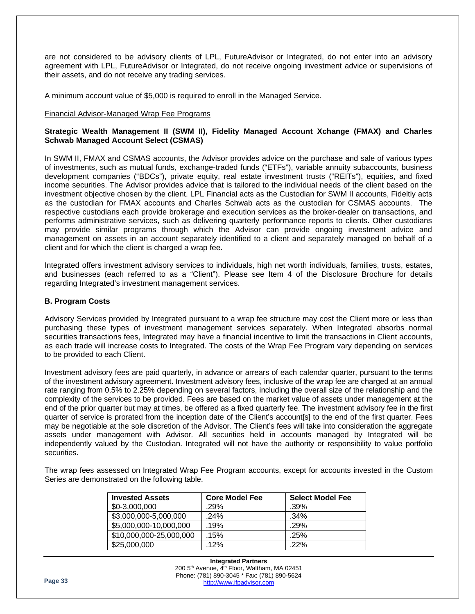are not considered to be advisory clients of LPL, FutureAdvisor or Integrated, do not enter into an advisory agreement with LPL, FutureAdvisor or Integrated, do not receive ongoing investment advice or supervisions of their assets, and do not receive any trading services.

A minimum account value of \$5,000 is required to enroll in the Managed Service.

### Financial Advisor-Managed Wrap Fee Programs

### **Strategic Wealth Management II (SWM II), Fidelity Managed Account Xchange (FMAX) and Charles Schwab Managed Account Select (CSMAS)**

In SWM II, FMAX and CSMAS accounts, the Advisor provides advice on the purchase and sale of various types of investments, such as mutual funds, exchange-traded funds ("ETFs"), variable annuity subaccounts, business development companies ("BDCs"), private equity, real estate investment trusts ("REITs"), equities, and fixed income securities. The Advisor provides advice that is tailored to the individual needs of the client based on the investment objective chosen by the client. LPL Financial acts as the Custodian for SWM II accounts, Fideltiy acts as the custodian for FMAX accounts and Charles Schwab acts as the custodian for CSMAS accounts. The respective custodians each provide brokerage and execution services as the broker-dealer on transactions, and performs administrative services, such as delivering quarterly performance reports to clients. Other custodians may provide similar programs through which the Advisor can provide ongoing investment advice and management on assets in an account separately identified to a client and separately managed on behalf of a client and for which the client is charged a wrap fee.

Integrated offers investment advisory services to individuals, high net worth individuals, families, trusts, estates, and businesses (each referred to as a "Client"). Please see Item 4 of the Disclosure Brochure for details regarding Integrated's investment management services.

### **B. Program Costs**

Advisory Services provided by Integrated pursuant to a wrap fee structure may cost the Client more or less than purchasing these types of investment management services separately. When Integrated absorbs normal securities transactions fees, Integrated may have a financial incentive to limit the transactions in Client accounts, as each trade will increase costs to Integrated. The costs of the Wrap Fee Program vary depending on services to be provided to each Client.

Investment advisory fees are paid quarterly, in advance or arrears of each calendar quarter, pursuant to the terms of the investment advisory agreement. Investment advisory fees, inclusive of the wrap fee are charged at an annual rate ranging from 0.5% to 2.25% depending on several factors, including the overall size of the relationship and the complexity of the services to be provided. Fees are based on the market value of assets under management at the end of the prior quarter but may at times, be offered as a fixed quarterly fee. The investment advisory fee in the first quarter of service is prorated from the inception date of the Client's account[s] to the end of the first quarter. Fees may be negotiable at the sole discretion of the Advisor. The Client's fees will take into consideration the aggregate assets under management with Advisor. All securities held in accounts managed by Integrated will be independently valued by the Custodian. Integrated will not have the authority or responsibility to value portfolio securities.

The wrap fees assessed on Integrated Wrap Fee Program accounts, except for accounts invested in the Custom Series are demonstrated on the following table.

| <b>Invested Assets</b>  | <b>Core Model Fee</b> | <b>Select Model Fee</b> |
|-------------------------|-----------------------|-------------------------|
| \$0-3,000,000           | .29%                  | $.39\%$                 |
| \$3,000,000-5,000,000   | .24%                  | $.34\%$                 |
| \$5,000,000-10,000,000  | .19%                  | $.29\%$                 |
| \$10,000,000-25,000,000 | .15%                  | .25%                    |
| \$25,000,000            | $.12\%$               | $.22\%$                 |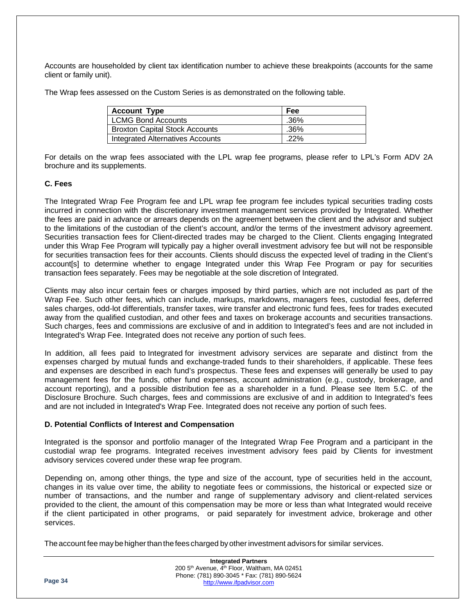Accounts are householded by client tax identification number to achieve these breakpoints (accounts for the same client or family unit).

The Wrap fees assessed on the Custom Series is as demonstrated on the following table.

| <b>Account Type</b>                     | Fee     |
|-----------------------------------------|---------|
| <b>LCMG Bond Accounts</b>               | .36%    |
| <b>Broxton Capital Stock Accounts</b>   | $.36\%$ |
| <b>Integrated Alternatives Accounts</b> | $.22\%$ |

For details on the wrap fees associated with the LPL wrap fee programs, please refer to LPL's Form ADV 2A brochure and its supplements.

### **C. Fees**

The Integrated Wrap Fee Program fee and LPL wrap fee program fee includes typical securities trading costs incurred in connection with the discretionary investment management services provided by Integrated. Whether the fees are paid in advance or arrears depends on the agreement between the client and the advisor and subject to the limitations of the custodian of the client's account, and/or the terms of the investment advisory agreement. Securities transaction fees for Client-directed trades may be charged to the Client. Clients engaging Integrated under this Wrap Fee Program will typically pay a higher overall investment advisory fee but will not be responsible for securities transaction fees for their accounts. Clients should discuss the expected level of trading in the Client's account[s] to determine whether to engage Integrated under this Wrap Fee Program or pay for securities transaction fees separately. Fees may be negotiable at the sole discretion of Integrated.

Clients may also incur certain fees or charges imposed by third parties, which are not included as part of the Wrap Fee. Such other fees, which can include, markups, markdowns, managers fees, custodial fees, deferred sales charges, odd-lot differentials, transfer taxes, wire transfer and electronic fund fees, fees for trades executed away from the qualified custodian, and other fees and taxes on brokerage accounts and securities transactions. Such charges, fees and commissions are exclusive of and in addition to Integrated's fees and are not included in Integrated's Wrap Fee. Integrated does not receive any portion of such fees.

In addition, all fees paid to Integrated for investment advisory services are separate and distinct from the expenses charged by mutual funds and exchange-traded funds to their shareholders, if applicable. These fees and expenses are described in each fund's prospectus. These fees and expenses will generally be used to pay management fees for the funds, other fund expenses, account administration (e.g., custody, brokerage, and account reporting), and a possible distribution fee as a shareholder in a fund. Please see Item 5.C. of the Disclosure Brochure. Such charges, fees and commissions are exclusive of and in addition to Integrated's fees and are not included in Integrated's Wrap Fee. Integrated does not receive any portion of such fees.

### **D. Potential Conflicts of Interest and Compensation**

Integrated is the sponsor and portfolio manager of the Integrated Wrap Fee Program and a participant in the custodial wrap fee programs. Integrated receives investment advisory fees paid by Clients for investment advisory services covered under these wrap fee program.

Depending on, among other things, the type and size of the account, type of securities held in the account, changes in its value over time, the ability to negotiate fees or commissions, the historical or expected size or number of transactions, and the number and range of supplementary advisory and client-related services provided to the client, the amount of this compensation may be more or less than what Integrated would receive if the client participated in other programs, or paid separately for investment advice, brokerage and other services.

The account fee may be higher than the fees charged by other investment advisors for similar services.

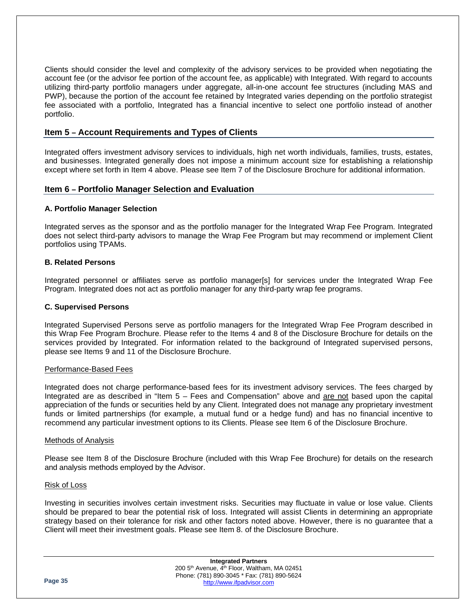Clients should consider the level and complexity of the advisory services to be provided when negotiating the account fee (or the advisor fee portion of the account fee, as applicable) with Integrated. With regard to accounts utilizing third-party portfolio managers under aggregate, all-in-one account fee structures (including MAS and PWP), because the portion of the account fee retained by Integrated varies depending on the portfolio strategist fee associated with a portfolio, Integrated has a financial incentive to select one portfolio instead of another portfolio.

### **Item 5 – Account Requirements and Types of Clients**

Integrated offers investment advisory services to individuals, high net worth individuals, families, trusts, estates, and businesses. Integrated generally does not impose a minimum account size for establishing a relationship except where set forth in Item 4 above. Please see Item 7 of the Disclosure Brochure for additional information.

### **Item 6 – Portfolio Manager Selection and Evaluation**

### **A. Portfolio Manager Selection**

Integrated serves as the sponsor and as the portfolio manager for the Integrated Wrap Fee Program. Integrated does not select third-party advisors to manage the Wrap Fee Program but may recommend or implement Client portfolios using TPAMs.

### **B. Related Persons**

Integrated personnel or affiliates serve as portfolio manager[s] for services under the Integrated Wrap Fee Program. Integrated does not act as portfolio manager for any third-party wrap fee programs.

### **C. Supervised Persons**

Integrated Supervised Persons serve as portfolio managers for the Integrated Wrap Fee Program described in this Wrap Fee Program Brochure. Please refer to the Items 4 and 8 of the Disclosure Brochure for details on the services provided by Integrated. For information related to the background of Integrated supervised persons, please see Items 9 and 11 of the Disclosure Brochure.

### Performance-Based Fees

Integrated does not charge performance-based fees for its investment advisory services. The fees charged by Integrated are as described in "Item 5 – Fees and Compensation" above and are not based upon the capital appreciation of the funds or securities held by any Client. Integrated does not manage any proprietary investment funds or limited partnerships (for example, a mutual fund or a hedge fund) and has no financial incentive to recommend any particular investment options to its Clients. Please see Item 6 of the Disclosure Brochure.

### Methods of Analysis

Please see Item 8 of the Disclosure Brochure (included with this Wrap Fee Brochure) for details on the research and analysis methods employed by the Advisor.

### Risk of Loss

Investing in securities involves certain investment risks. Securities may fluctuate in value or lose value. Clients should be prepared to bear the potential risk of loss. Integrated will assist Clients in determining an appropriate strategy based on their tolerance for risk and other factors noted above. However, there is no guarantee that a Client will meet their investment goals. Please see Item 8. of the Disclosure Brochure.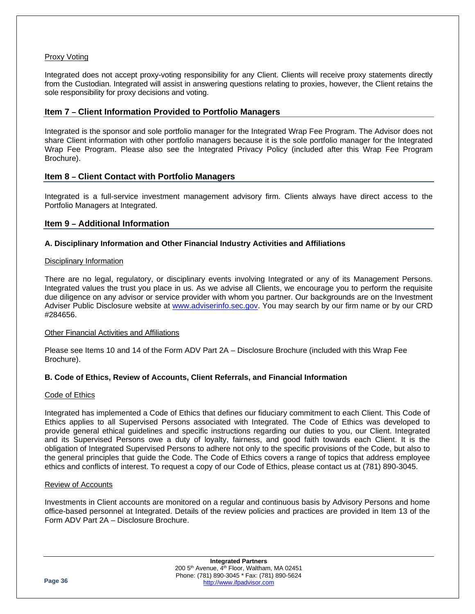### Proxy Voting

Integrated does not accept proxy-voting responsibility for any Client. Clients will receive proxy statements directly from the Custodian. Integrated will assist in answering questions relating to proxies, however, the Client retains the sole responsibility for proxy decisions and voting.

### **Item 7 – Client Information Provided to Portfolio Managers**

Integrated is the sponsor and sole portfolio manager for the Integrated Wrap Fee Program. The Advisor does not share Client information with other portfolio managers because it is the sole portfolio manager for the Integrated Wrap Fee Program. Please also see the Integrated Privacy Policy (included after this Wrap Fee Program Brochure).

### **Item 8 – Client Contact with Portfolio Managers**

Integrated is a full-service investment management advisory firm. Clients always have direct access to the Portfolio Managers at Integrated.

### **Item 9 – Additional Information**

### **A. Disciplinary Information and Other Financial Industry Activities and Affiliations**

### Disciplinary Information

There are no legal, regulatory, or disciplinary events involving Integrated or any of its Management Persons. Integrated values the trust you place in us. As we advise all Clients, we encourage you to perform the requisite due diligence on any advisor or service provider with whom you partner. Our backgrounds are on the Investment Adviser Public Disclosure website at [www.adviserinfo.sec.gov.](http://www.adviserinfo.sec.gov/) You may search by our firm name or by our CRD #284656.

### Other Financial Activities and Affiliations

Please see Items 10 and 14 of the Form ADV Part 2A – Disclosure Brochure (included with this Wrap Fee Brochure).

### **B. Code of Ethics, Review of Accounts, Client Referrals, and Financial Information**

### Code of Ethics

Integrated has implemented a Code of Ethics that defines our fiduciary commitment to each Client. This Code of Ethics applies to all Supervised Persons associated with Integrated. The Code of Ethics was developed to provide general ethical guidelines and specific instructions regarding our duties to you, our Client. Integrated and its Supervised Persons owe a duty of loyalty, fairness, and good faith towards each Client. It is the obligation of Integrated Supervised Persons to adhere not only to the specific provisions of the Code, but also to the general principles that guide the Code. The Code of Ethics covers a range of topics that address employee ethics and conflicts of interest. To request a copy of our Code of Ethics, please contact us at (781) 890-3045.

### Review of Accounts

Investments in Client accounts are monitored on a regular and continuous basis by Advisory Persons and home office-based personnel at Integrated. Details of the review policies and practices are provided in Item 13 of the Form ADV Part 2A – Disclosure Brochure.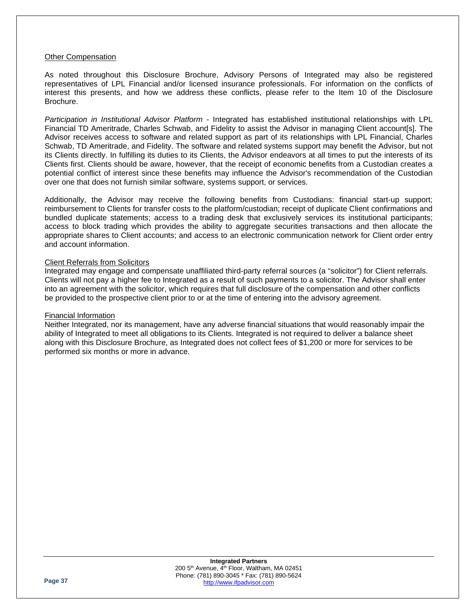### Other Compensation

As noted throughout this Disclosure Brochure, Advisory Persons of Integrated may also be registered representatives of LPL Financial and/or licensed insurance professionals. For information on the conflicts of interest this presents, and how we address these conflicts, please refer to the Item 10 of the Disclosure Brochure.

*Participation in Institutional Advisor Platform* - Integrated has established institutional relationships with LPL Financial TD Ameritrade, Charles Schwab, and Fidelity to assist the Advisor in managing Client account[s]. The Advisor receives access to software and related support as part of its relationships with LPL Financial, Charles Schwab, TD Ameritrade, and Fidelity. The software and related systems support may benefit the Advisor, but not its Clients directly. In fulfilling its duties to its Clients, the Advisor endeavors at all times to put the interests of its Clients first. Clients should be aware, however, that the receipt of economic benefits from a Custodian creates a potential conflict of interest since these benefits may influence the Advisor's recommendation of the Custodian over one that does not furnish similar software, systems support, or services.

Additionally, the Advisor may receive the following benefits from Custodians: financial start-up support; reimbursement to Clients for transfer costs to the platform/custodian; receipt of duplicate Client confirmations and bundled duplicate statements; access to a trading desk that exclusively services its institutional participants; access to block trading which provides the ability to aggregate securities transactions and then allocate the appropriate shares to Client accounts; and access to an electronic communication network for Client order entry and account information.

### Client Referrals from Solicitors

Integrated may engage and compensate unaffiliated third-party referral sources (a "solicitor") for Client referrals. Clients will not pay a higher fee to Integrated as a result of such payments to a solicitor. The Advisor shall enter into an agreement with the solicitor, which requires that full disclosure of the compensation and other conflicts be provided to the prospective client prior to or at the time of entering into the advisory agreement.

### Financial Information

Neither Integrated, nor its management, have any adverse financial situations that would reasonably impair the ability of Integrated to meet all obligations to its Clients. Integrated is not required to deliver a balance sheet along with this Disclosure Brochure, as Integrated does not collect fees of \$1,200 or more for services to be performed six months or more in advance.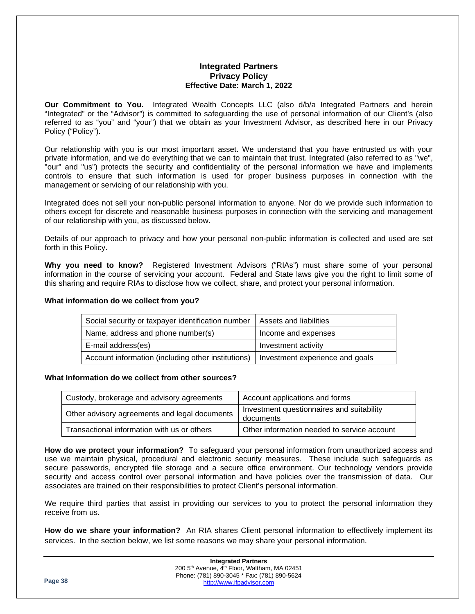### **Integrated Partners Privacy Policy Effective Date: March 1, 2022**

**Our Commitment to You.** Integrated Wealth Concepts LLC (also d/b/a Integrated Partners and herein "Integrated" or the "Advisor") is committed to safeguarding the use of personal information of our Client's (also referred to as "you" and "your") that we obtain as your Investment Advisor, as described here in our Privacy Policy ("Policy").

Our relationship with you is our most important asset. We understand that you have entrusted us with your private information, and we do everything that we can to maintain that trust. Integrated (also referred to as "we", "our" and "us") protects the security and confidentiality of the personal information we have and implements controls to ensure that such information is used for proper business purposes in connection with the management or servicing of our relationship with you.

Integrated does not sell your non-public personal information to anyone. Nor do we provide such information to others except for discrete and reasonable business purposes in connection with the servicing and management of our relationship with you, as discussed below.

Details of our approach to privacy and how your personal non-public information is collected and used are set forth in this Policy.

**Why you need to know?** Registered Investment Advisors ("RIAs") must share some of your personal information in the course of servicing your account. Federal and State laws give you the right to limit some of this sharing and require RIAs to disclose how we collect, share, and protect your personal information.

### **What information do we collect from you?**

| Social security or taxpayer identification number  | Assets and liabilities          |
|----------------------------------------------------|---------------------------------|
| Name, address and phone number(s)                  | Income and expenses             |
| E-mail address(es)                                 | Investment activity             |
| Account information (including other institutions) | Investment experience and goals |

### **What Information do we collect from other sources?**

| Custody, brokerage and advisory agreements    | Account applications and forms                         |
|-----------------------------------------------|--------------------------------------------------------|
| Other advisory agreements and legal documents | Investment questionnaires and suitability<br>documents |
| Transactional information with us or others   | Other information needed to service account            |

**How do we protect your information?** To safeguard your personal information from unauthorized access and use we maintain physical, procedural and electronic security measures. These include such safeguards as secure passwords, encrypted file storage and a secure office environment. Our technology vendors provide security and access control over personal information and have policies over the transmission of data. Our associates are trained on their responsibilities to protect Client's personal information.

We require third parties that assist in providing our services to you to protect the personal information they receive from us.

**How do we share your information?** An RIA shares Client personal information to effectlively implement its services. In the section below, we list some reasons we may share your personal information.

|         | <b>Integrated Partners</b>                                           |  |
|---------|----------------------------------------------------------------------|--|
|         | 200 5 <sup>th</sup> Avenue, 4 <sup>th</sup> Floor, Waltham, MA 02451 |  |
| Page 38 | Phone: (781) 890-3045 * Fax: (781) 890-5624                          |  |
|         | http://www.ifpadvisor.com                                            |  |
|         |                                                                      |  |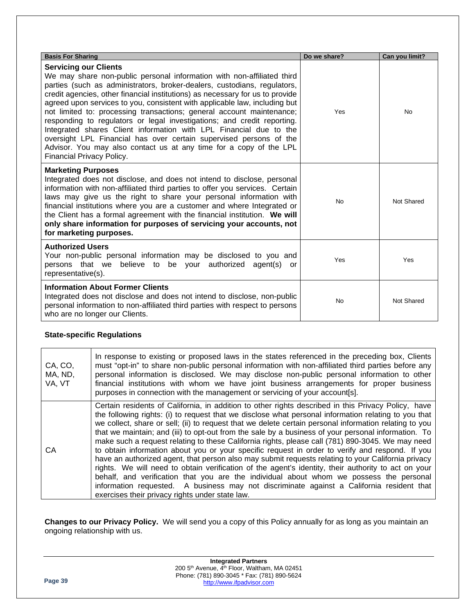| <b>Basis For Sharing</b>                                                                                                                                                                                                                                                                                                                                                                                                                                                                                                                                                                                                                                                                                                                                    | Do we share? | Can you limit? |
|-------------------------------------------------------------------------------------------------------------------------------------------------------------------------------------------------------------------------------------------------------------------------------------------------------------------------------------------------------------------------------------------------------------------------------------------------------------------------------------------------------------------------------------------------------------------------------------------------------------------------------------------------------------------------------------------------------------------------------------------------------------|--------------|----------------|
| <b>Servicing our Clients</b><br>We may share non-public personal information with non-affiliated third<br>parties (such as administrators, broker-dealers, custodians, regulators,<br>credit agencies, other financial institutions) as necessary for us to provide<br>agreed upon services to you, consistent with applicable law, including but<br>not limited to: processing transactions; general account maintenance;<br>responding to regulators or legal investigations; and credit reporting.<br>Integrated shares Client information with LPL Financial due to the<br>oversight LPL Financial has over certain supervised persons of the<br>Advisor. You may also contact us at any time for a copy of the LPL<br><b>Financial Privacy Policy.</b> | Yes          | <b>No</b>      |
| <b>Marketing Purposes</b><br>Integrated does not disclose, and does not intend to disclose, personal<br>information with non-affiliated third parties to offer you services. Certain<br>laws may give us the right to share your personal information with<br>financial institutions where you are a customer and where Integrated or<br>the Client has a formal agreement with the financial institution. We will<br>only share information for purposes of servicing your accounts, not<br>for marketing purposes.                                                                                                                                                                                                                                        | <b>No</b>    | Not Shared     |
| <b>Authorized Users</b><br>Your non-public personal information may be disclosed to you and<br>persons that we believe to be your authorized<br>agent(s)<br>or<br>representative(s).                                                                                                                                                                                                                                                                                                                                                                                                                                                                                                                                                                        | Yes          | Yes            |
| <b>Information About Former Clients</b><br>Integrated does not disclose and does not intend to disclose, non-public<br>personal information to non-affiliated third parties with respect to persons<br>who are no longer our Clients.                                                                                                                                                                                                                                                                                                                                                                                                                                                                                                                       | <b>No</b>    | Not Shared     |

### **State-specific Regulations**

| CA, CO,<br>MA, ND,<br>VA, VT | In response to existing or proposed laws in the states referenced in the preceding box, Clients<br>must "opt-in" to share non-public personal information with non-affiliated third parties before any<br>personal information is disclosed. We may disclose non-public personal information to other<br>financial institutions with whom we have joint business arrangements for proper business<br>purposes in connection with the management or servicing of your account[s].                                                                                                                                                                                                                                                                                                                                                                                                                                                                                                                                                                                                            |
|------------------------------|---------------------------------------------------------------------------------------------------------------------------------------------------------------------------------------------------------------------------------------------------------------------------------------------------------------------------------------------------------------------------------------------------------------------------------------------------------------------------------------------------------------------------------------------------------------------------------------------------------------------------------------------------------------------------------------------------------------------------------------------------------------------------------------------------------------------------------------------------------------------------------------------------------------------------------------------------------------------------------------------------------------------------------------------------------------------------------------------|
| CА                           | Certain residents of California, in addition to other rights described in this Privacy Policy, have<br>the following rights: (i) to request that we disclose what personal information relating to you that<br>we collect, share or sell; (ii) to request that we delete certain personal information relating to you<br>that we maintain; and (iii) to opt-out from the sale by a business of your personal information. To<br>make such a request relating to these California rights, please call (781) 890-3045. We may need<br>to obtain information about you or your specific request in order to verify and respond. If you<br>have an authorized agent, that person also may submit requests relating to your California privacy<br>rights. We will need to obtain verification of the agent's identity, their authority to act on your<br>behalf, and verification that you are the individual about whom we possess the personal<br>information requested. A business may not discriminate against a California resident that<br>exercises their privacy rights under state law. |

**Changes to our Privacy Policy.** We will send you a copy of this Policy annually for as long as you maintain an ongoing relationship with us.